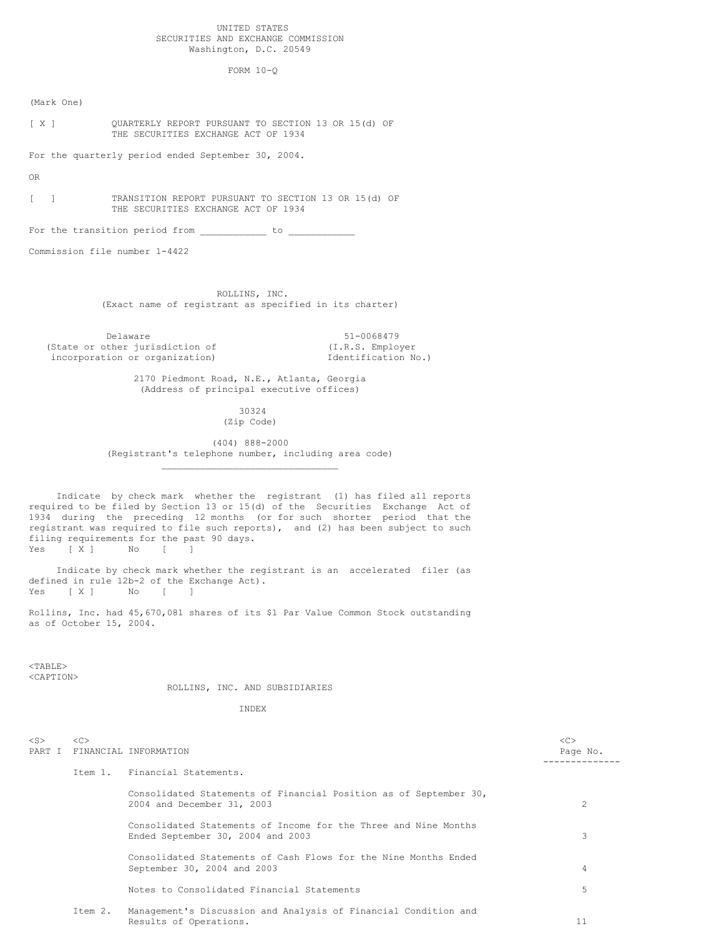# UNITED STATES SECURITIES AND EXCHANGE COMMISSION Washington, D.C. 20549

FORM 10-Q

(Mark One)

[ X ] QUARTERLY REPORT PURSUANT TO SECTION 13 OR 15(d) OF THE SECURITIES EXCHANGE ACT OF 1934

For the quarterly period ended September 30, 2004.

OR

[ ] TRANSITION REPORT PURSUANT TO SECTION 13 OR 15(d) OF THE SECURITIES EXCHANGE ACT OF 1934

For the transition period from \_\_\_\_\_\_\_\_\_\_\_\_ to \_\_\_\_\_\_\_\_\_\_\_\_

Commission file number 1-4422

ROLLINS, INC. (Exact name of registrant as specified in its charter)

Delaware 51-0068479<br>
other iurisdiction of (I.R.S. Employer (State or other jurisdiction of incorporation or organization) and incorporation No.)

2170 Piedmont Road, N.E., Atlanta, Georgia (Address of principal executive offices)

> 30324 (Zip Code)

(404) 888-2000 (Registrant's telephone number, including area code)  $\overline{\phantom{a}}$  , and the set of the set of the set of the set of the set of the set of the set of the set of the set of the set of the set of the set of the set of the set of the set of the set of the set of the set of the s

Indicate by check mark whether the registrant (1) has filed all reports required to be filed by Section 13 or 15(d) of the Securities Exchange Act of 1934 during the preceding 12 months (or for such shorter period that the registrant was required to file such reports), and (2) has been subject to such filing requirements for the past 90 days. Yes [ X ] No [ ]

Indicate by check mark whether the registrant is an accelerated filer (as defined in rule 12b-2 of the Exchange Act). Yes [ X ] No [ ]

Rollins, Inc. had 45,670,081 shares of its \$1 Par Value Common Stock outstanding as of October 15, 2004.

<TABLE> <CAPTION>

ROLLINS, INC. AND SUBSIDIARIES

INDEX

| $<$ S $>$<br>PART I | <<      | FINANCIAL INFORMATION                                                                                | < <sub><br/>Page No.</sub> |
|---------------------|---------|------------------------------------------------------------------------------------------------------|----------------------------|
|                     | Ttem 1. | Financial Statements.                                                                                |                            |
|                     |         | Consolidated Statements of Financial Position as of September 30,<br>2004 and December 31, 2003      |                            |
|                     |         | Consolidated Statements of Income for the Three and Nine Months<br>Ended September 30, 2004 and 2003 |                            |
|                     |         | Consolidated Statements of Cash Flows for the Nine Months Ended<br>September 30, 2004 and 2003       | 4                          |
|                     |         | Notes to Consolidated Financial Statements                                                           | 5                          |
|                     | Item 2. | Management's Discussion and Analysis of Financial Condition and<br>Results of Operations.            | 11                         |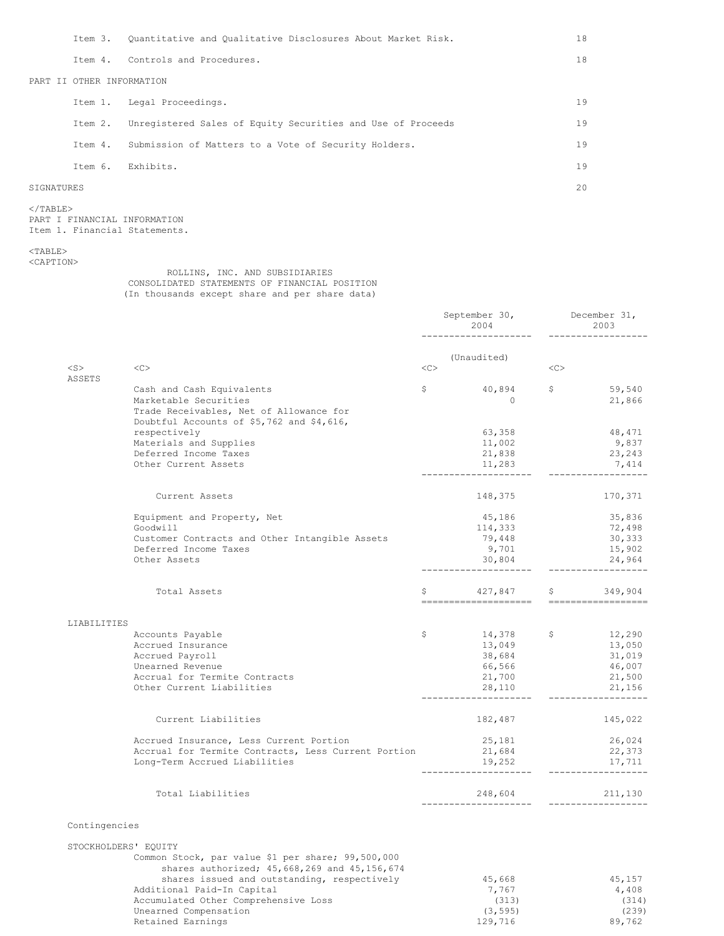|                   | Ttem 3.                   | Ouantitative and Oualitative Disclosures About Market Risk. | 18  |
|-------------------|---------------------------|-------------------------------------------------------------|-----|
|                   | Ttem 4.                   | Controls and Procedures.                                    | 18  |
|                   | PART II OTHER INFORMATION |                                                             |     |
|                   | Item 1.                   | Legal Proceedings.                                          | 19  |
|                   | Item 2.                   | Unregistered Sales of Equity Securities and Use of Proceeds | 19  |
|                   | Item 4.                   | Submission of Matters to a Vote of Security Holders.        | 19  |
|                   | Ttem 6.                   | Exhibits.                                                   | 19  |
| <b>STGNATURES</b> |                           |                                                             | 2.0 |

 $<$ /TABLE> PART I FINANCIAL INFORMATION Item 1. Financial Statements.

# $<sub>TABLE</sub>$ </sub> <CAPTION>

ROLLINS, INC. AND SUBSIDIARIES CONSOLIDATED STATEMENTS OF FINANCIAL POSITION (In thousands except share and per share data)

|                      |                                                                                                                                                                                                                                                                      | September 30,<br>2004 |                                                          | December 31,<br>2003<br>--------- |                                                          |
|----------------------|----------------------------------------------------------------------------------------------------------------------------------------------------------------------------------------------------------------------------------------------------------------------|-----------------------|----------------------------------------------------------|-----------------------------------|----------------------------------------------------------|
| $<$ S $>$            | <<                                                                                                                                                                                                                                                                   | $<\infty$             | (Unaudited)                                              | <<                                |                                                          |
| ASSETS               | Cash and Cash Equivalents<br>Marketable Securities<br>Trade Receivables, Net of Allowance for<br>Doubtful Accounts of \$5,762 and \$4,616,                                                                                                                           | \$                    | 40,894<br>$\Omega$                                       | \$                                | 59,540<br>21,866                                         |
|                      | respectively<br>Materials and Supplies<br>Deferred Income Taxes<br>Other Current Assets                                                                                                                                                                              |                       | 63,358<br>11,002<br>21,838<br>11,283                     |                                   | 48,471<br>9,837<br>23,243<br>7,414                       |
|                      | Current Assets                                                                                                                                                                                                                                                       |                       | 148,375                                                  |                                   | 170,371                                                  |
|                      | Equipment and Property, Net<br>Goodwill<br>Customer Contracts and Other Intangible Assets<br>Deferred Income Taxes<br>Other Assets                                                                                                                                   |                       | 45,186<br>114,333<br>79,448<br>9,701<br>30,804           |                                   | 35,836<br>72,498<br>30,333<br>15,902<br>24,964           |
|                      | Total Assets                                                                                                                                                                                                                                                         | \$                    | 427,847<br>----------------------                        |                                   | \$349,904<br>-------------------                         |
| LIABILITIES          | Accounts Payable<br>Accrued Insurance<br>Accrued Payroll<br>Unearned Revenue<br>Accrual for Termite Contracts<br>Other Current Liabilities                                                                                                                           | \$                    | 14,378<br>13,049<br>38,684<br>66,566<br>21,700<br>28,110 | $\mathsf{S}$                      | 12,290<br>13,050<br>31,019<br>46,007<br>21,500<br>21,156 |
|                      | Current Liabilities                                                                                                                                                                                                                                                  |                       | 182,487                                                  |                                   | 145,022                                                  |
|                      | Accrued Insurance, Less Current Portion<br>Accrual for Termite Contracts, Less Current Portion<br>Long-Term Accrued Liabilities                                                                                                                                      |                       | 25,181<br>21,684<br>19,252                               |                                   | 26,024<br>22,373<br>17,711                               |
|                      | Total Liabilities                                                                                                                                                                                                                                                    |                       | 248,604                                                  |                                   | 211,130                                                  |
| Contingencies        |                                                                                                                                                                                                                                                                      |                       |                                                          |                                   |                                                          |
| STOCKHOLDERS' EQUITY | Common Stock, par value \$1 per share; 99,500,000<br>shares authorized; 45,668,269 and 45,156,674<br>shares issued and outstanding, respectively<br>Additional Paid-In Capital<br>Accumulated Other Comprehensive Loss<br>Unearned Compensation<br>Retained Earnings |                       | 45,668<br>7,767<br>(313)<br>(3, 595)<br>129,716          |                                   | 45,157<br>4,408<br>(314)<br>(239)<br>89,762              |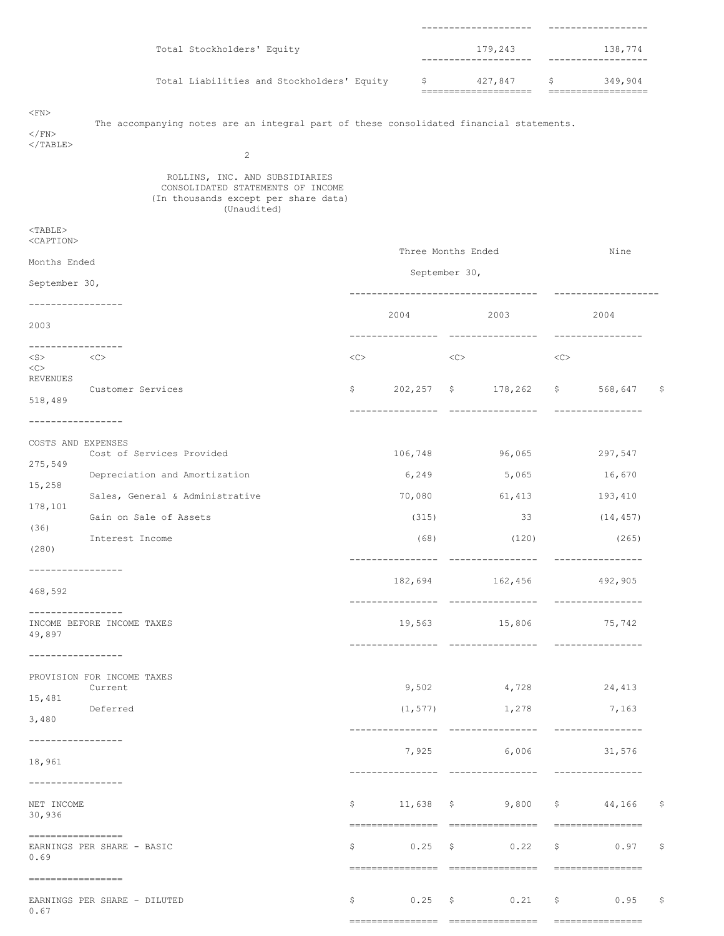|                                                    |                                                                                                                                            |     |                    |                  | --------------------                                      |      | ------------------            |  |
|----------------------------------------------------|--------------------------------------------------------------------------------------------------------------------------------------------|-----|--------------------|------------------|-----------------------------------------------------------|------|-------------------------------|--|
|                                                    | Total Stockholders' Equity                                                                                                                 |     |                    |                  | 179,243<br>---------------------                          |      | 138,774<br>__________________ |  |
|                                                    | Total Liabilities and Stockholders' Equity                                                                                                 |     | \$                 |                  | 427,847                                                   |      | \$349,904                     |  |
| $<$ FN><br>$\rm <$ / $\rm FN$<br>$\langle$ /TABLE> | The accompanying notes are an integral part of these consolidated financial statements.                                                    |     |                    |                  |                                                           |      |                               |  |
|                                                    | $\mathbf{2}$<br>ROLLINS, INC. AND SUBSIDIARIES<br>CONSOLIDATED STATEMENTS OF INCOME<br>(In thousands except per share data)<br>(Unaudited) |     |                    |                  |                                                           |      |                               |  |
| $TABLE$<br><caption></caption>                     |                                                                                                                                            |     | Three Months Ended |                  |                                                           |      | Nine                          |  |
| Months Ended                                       |                                                                                                                                            |     | September 30,      |                  |                                                           |      |                               |  |
| September 30,                                      |                                                                                                                                            |     |                    |                  | _______________________________                           |      |                               |  |
| . _ _ _ _ _ _ _ _ _ _ _ _ _ _ _ _<br>2003          |                                                                                                                                            |     | 2004               |                  | 2003                                                      | 2004 |                               |  |
| -----------------                                  |                                                                                                                                            |     |                    |                  |                                                           |      | ----------------              |  |
| <s><br/>&lt;&lt;&gt;<br/>REVENUES</s>              | < <c></c>                                                                                                                                  | <<> |                    | $<<$ $<$ $<$ $>$ |                                                           | <<   |                               |  |
| 518,489                                            | Customer Services                                                                                                                          |     | -----------------  |                  | $$202,257$ \$ 178,262 \$ 568,647 \$<br>-----------------  |      | ----------------              |  |
| ----------------                                   |                                                                                                                                            |     |                    |                  |                                                           |      |                               |  |
| COSTS AND EXPENSES                                 | Cost of Services Provided                                                                                                                  |     | 106,748            |                  | 96,065                                                    |      | 297,547                       |  |
| 275,549                                            | Depreciation and Amortization                                                                                                              |     | 6,249              |                  | 5,065                                                     |      | 16,670                        |  |
| 15,258                                             | Sales, General & Administrative                                                                                                            |     | 70,080             |                  | 61,413                                                    |      | 193,410                       |  |
| 178,101                                            | Gain on Sale of Assets                                                                                                                     |     | (315)              |                  | 33                                                        |      | (14, 457)                     |  |
| (36)<br>(280)                                      | Interest Income                                                                                                                            |     | (68)               |                  | (120)                                                     |      | (265)                         |  |
| -----------------                                  |                                                                                                                                            |     | 182,694            |                  | 162,456 492,905                                           |      | ----------------              |  |
| 468,592                                            |                                                                                                                                            |     |                    |                  | -------------------------------------                     |      | ----------------              |  |
| . _ _ _ _ _ _ _ _ _ _ _ _ _ _ _ _<br>49,897        | INCOME BEFORE INCOME TAXES                                                                                                                 |     |                    |                  | 19,563 15,806                                             |      | 75,742<br>----------------    |  |
| -----------------                                  | PROVISION FOR INCOME TAXES                                                                                                                 |     |                    |                  |                                                           |      |                               |  |
| 15,481                                             | Current                                                                                                                                    |     |                    |                  | 9,502 4,728 24,413                                        |      |                               |  |
| 3,480                                              | Deferred                                                                                                                                   |     |                    |                  | $(1, 577)$ 1,278<br>------------------------------------- |      | 7,163<br>----------------     |  |
| -----------------<br>18,961                        |                                                                                                                                            |     | 7,925              |                  | 6,006                                                     |      | 31,576                        |  |
| ----------------                                   |                                                                                                                                            |     |                    |                  |                                                           |      | ----------------              |  |
| NET INCOME<br>30,936                               |                                                                                                                                            | \$  |                    |                  | $11,638$ \$ 9,800 \$ 44,166 \$                            |      |                               |  |
| -----------------<br>0.69                          | EARNINGS PER SHARE - BASIC                                                                                                                 | \$  |                    |                  | $0.25$ \$ $0.22$ \$ $0.97$ \$                             |      |                               |  |
| =================<br>0.67                          | EARNINGS PER SHARE - DILUTED                                                                                                               | \$  |                    |                  | $0.25 \quad \frac{1}{5} \quad 0.21 \quad \frac{1}{5}$     |      | $0.95$ \$                     |  |
|                                                    |                                                                                                                                            |     |                    |                  |                                                           |      |                               |  |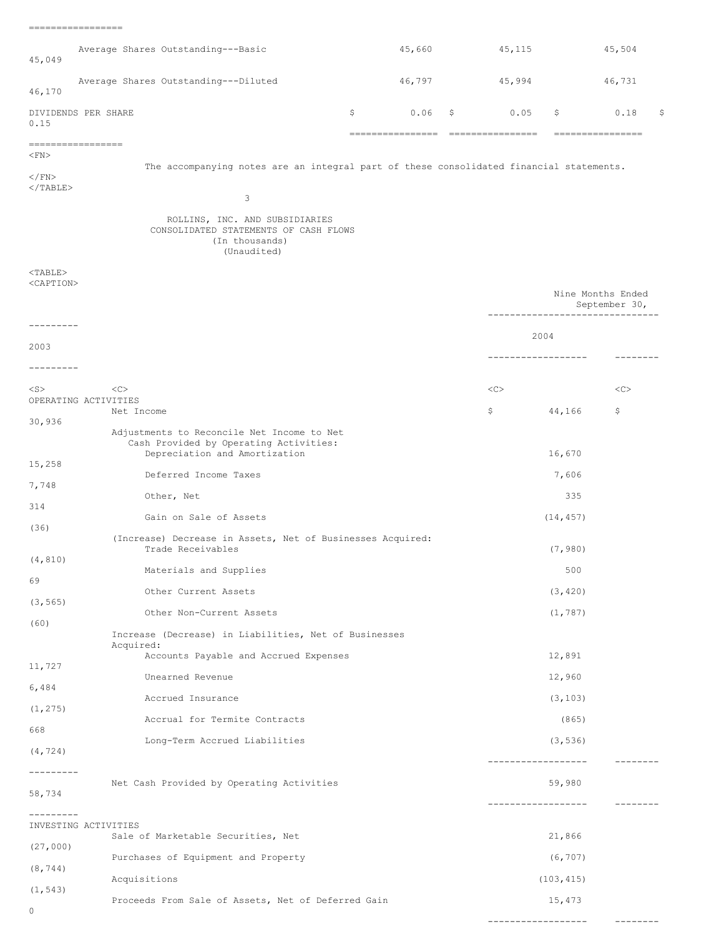=================

| 0.15   | DIVIDENDS PER SHARE                  | \$. | $0.06$ \$ | 0.05<br>$\sim$ $\sim$ $\sim$ | 0.18   | $\mathsf{S}$ |
|--------|--------------------------------------|-----|-----------|------------------------------|--------|--------------|
| 46,170 | Average Shares Outstanding---Diluted |     | 46,797    | 45,994                       | 46,731 |              |
| 45,049 | Average Shares Outstanding---Basic   |     | 45,660    | 45,115                       | 45,504 |              |

 ${ <\hspace{-1.5pt}{\rm FN} \hspace{-1.5pt}>}$ 

The accompanying notes are an integral part of these consolidated financial statements.

 $\rm  FN>$  $<$ /TABLE>

3

# ROLLINS, INC. AND SUBSIDIARIES CONSOLIDATED STATEMENTS OF CASH FLOWS (In thousands) (Unaudited)

 $<sub>TABLE</sub>$ </sub> <CAPTION>

|                                   |                                                                                      |     | --------------------         | Nine Months Ended<br>September 30, |
|-----------------------------------|--------------------------------------------------------------------------------------|-----|------------------------------|------------------------------------|
| ---------                         |                                                                                      |     | 2004                         |                                    |
| 2003                              |                                                                                      |     | ------------------           |                                    |
| ---------                         |                                                                                      |     |                              |                                    |
| $<$ S $>$<br>OPERATING ACTIVITIES | <<                                                                                   | <<> |                              | <<                                 |
| 30,936                            | Net Income                                                                           | \$  | 44,166                       | \$                                 |
|                                   | Adjustments to Reconcile Net Income to Net<br>Cash Provided by Operating Activities: |     |                              |                                    |
| 15,258                            | Depreciation and Amortization                                                        |     | 16,670                       |                                    |
| 7,748                             | Deferred Income Taxes                                                                |     | 7,606                        |                                    |
|                                   | Other, Net                                                                           |     | 335                          |                                    |
| 314                               | Gain on Sale of Assets                                                               |     | (14, 457)                    |                                    |
| (36)                              | (Increase) Decrease in Assets, Net of Businesses Acquired:<br>Trade Receivables      |     | (7, 980)                     |                                    |
| (4, 810)                          |                                                                                      |     |                              |                                    |
| 69                                | Materials and Supplies<br>Other Current Assets                                       |     | 500<br>(3, 420)              |                                    |
| (3, 565)                          | Other Non-Current Assets                                                             |     | (1, 787)                     |                                    |
| (60)                              |                                                                                      |     |                              |                                    |
|                                   | Increase (Decrease) in Liabilities, Net of Businesses<br>Acquired:                   |     |                              |                                    |
| 11,727                            | Accounts Payable and Accrued Expenses                                                |     | 12,891                       |                                    |
|                                   | Unearned Revenue                                                                     |     | 12,960                       |                                    |
| 6,484                             | Accrued Insurance                                                                    |     | (3, 103)                     |                                    |
| (1, 275)                          | Accrual for Termite Contracts                                                        |     | (865)                        |                                    |
| 668                               |                                                                                      |     |                              |                                    |
| (4, 724)                          | Long-Term Accrued Liabilities                                                        |     | (3, 536)                     |                                    |
| 58,734                            | Net Cash Provided by Operating Activities                                            |     | 59,980<br>------------------ | --------                           |
| INVESTING ACTIVITIES              |                                                                                      |     |                              |                                    |
| (27,000)                          | Sale of Marketable Securities, Net                                                   |     | 21,866                       |                                    |
|                                   | Purchases of Equipment and Property                                                  |     | (6, 707)                     |                                    |
| (8, 744)                          | Acquisitions                                                                         |     | (103, 415)                   |                                    |
| (1, 543)                          | Proceeds From Sale of Assets, Net of Deferred Gain                                   |     | 15,473                       |                                    |
| 0                                 |                                                                                      |     |                              |                                    |

------------------ --------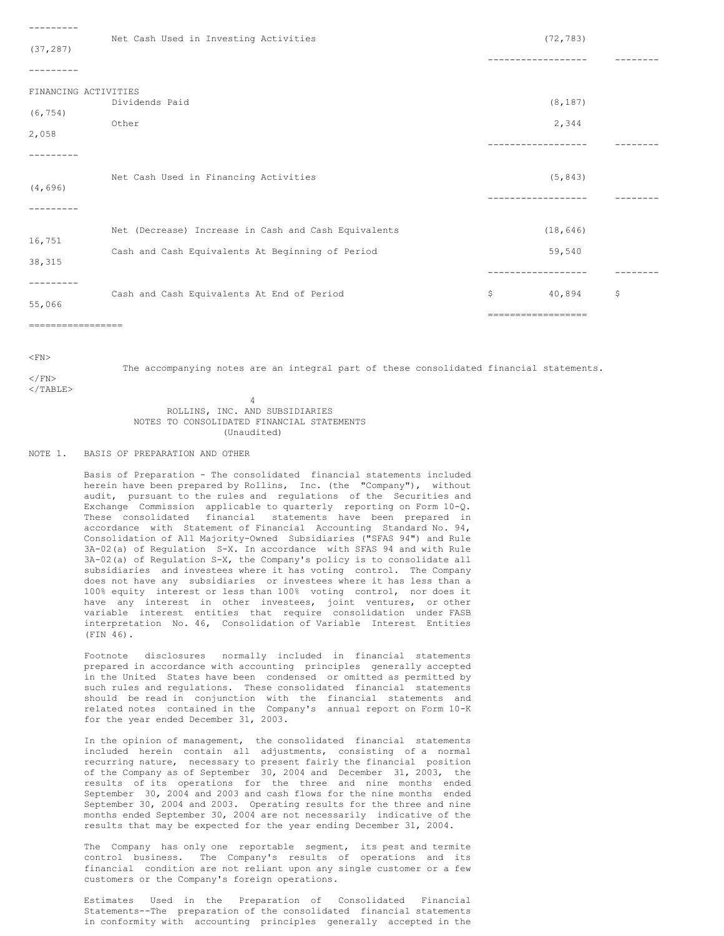--------- Net Cash Used in Investing Activities (72,783) (37,287) ------------------ -------- --------- FINANCING ACTIVITIES Dividends Paid (8,187) (6,754) Other 2,344 2,058 ------------------ -------- --------- Net Cash Used in Financing Activities (5,843) (4,696) ------------------ -------- --------- Net (Decrease) Increase in Cash and Cash Equivalents (18,646) 16,751 Cash and Cash Equivalents At Beginning of Period 59,540 38,315 ------------------ -------- --------- Cash and Cash Equivalents At End of Period  $\zeta$  894 \$ 55,066 ================== =================

#### $<$ FN $>$

 $<$ / $FN$ 

The accompanying notes are an integral part of these consolidated financial statements.

 $<$ /TABLE $>$ 

4 ROLLINS, INC. AND SUBSIDIARIES NOTES TO CONSOLIDATED FINANCIAL STATEMENTS (Unaudited)

# NOTE 1. BASIS OF PREPARATION AND OTHER

Basis of Preparation - The consolidated financial statements included herein have been prepared by Rollins, Inc. (the "Company"), without audit, pursuant to the rules and regulations of the Securities and Exchange Commission applicable to quarterly reporting on Form 10-Q. These consolidated financial statements have been prepared in accordance with Statement of Financial Accounting Standard No. 94, Consolidation of All Majority-Owned Subsidiaries ("SFAS 94") and Rule 3A-02(a) of Regulation S-X. In accordance with SFAS 94 and with Rule 3A-02(a) of Regulation S-X, the Company's policy is to consolidate all subsidiaries and investees where it has voting control. The Company does not have any subsidiaries or investees where it has less than a 100% equity interest or less than 100% voting control, nor does it have any interest in other investees, joint ventures, or other variable interest entities that require consolidation under FASB interpretation No. 46, Consolidation of Variable Interest Entities (FIN 46).

Footnote disclosures normally included in financial statements prepared in accordance with accounting principles generally accepted in the United States have been condensed or omitted as permitted by such rules and regulations. These consolidated financial statements should be read in conjunction with the financial statements and related notes contained in the Company's annual report on Form 10-K for the year ended December 31, 2003.

In the opinion of management, the consolidated financial statements included herein contain all adjustments, consisting of a normal recurring nature, necessary to present fairly the financial position of the Company as of September 30, 2004 and December 31, 2003, the results of its operations for the three and nine months ended September 30, 2004 and 2003 and cash flows for the nine months ended September 30, 2004 and 2003. Operating results for the three and nine months ended September 30, 2004 are not necessarily indicative of the results that may be expected for the year ending December 31, 2004.

The Company has only one reportable segment, its pest and termite control business. The Company's results of operations and its financial condition are not reliant upon any single customer or a few customers or the Company's foreign operations.

Estimates Used in the Preparation of Consolidated Financial Statements--The preparation of the consolidated financial statements in conformity with accounting principles generally accepted in the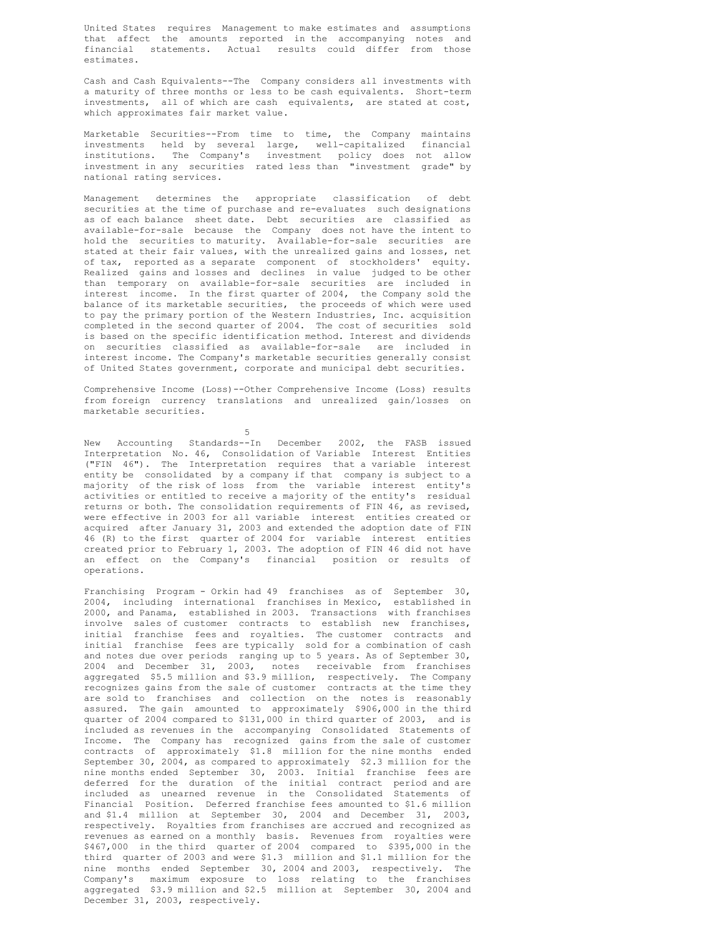United States requires Management to make estimates and assumptions that affect the amounts reported in the accompanying notes and financial statements. Actual results could differ from those estimates.

Cash and Cash Equivalents--The Company considers all investments with a maturity of three months or less to be cash equivalents. Short-term investments, all of which are cash equivalents, are stated at cost, which approximates fair market value.

Marketable Securities--From time to time, the Company maintains investments held by several large, well-capitalized financial institutions. The Company's investment policy does not allow investment in any securities rated less than "investment grade" by national rating services.

Management determines the appropriate classification of debt securities at the time of purchase and re-evaluates such designations as of each balance sheet date. Debt securities are classified as available-for-sale because the Company does not have the intent to hold the securities to maturity. Available-for-sale securities are stated at their fair values, with the unrealized gains and losses, net of tax, reported as a separate component of stockholders' equity. Realized gains and losses and declines in value judged to be other than temporary on available-for-sale securities are included in interest income. In the first quarter of 2004, the Company sold the balance of its marketable securities, the proceeds of which were used to pay the primary portion of the Western Industries, Inc. acquisition completed in the second quarter of 2004. The cost of securities sold is based on the specific identification method. Interest and dividends on securities classified as available-for-sale are included in interest income. The Company's marketable securities generally consist of United States government, corporate and municipal debt securities.

Comprehensive Income (Loss)--Other Comprehensive Income (Loss) results from foreign currency translations and unrealized gain/losses on marketable securities.

5<br>New Accounting Standards--In December 2002, the FASB issued Interpretation No. 46, Consolidation of Variable Interest Entities ("FIN 46"). The Interpretation requires that a variable interest entity be consolidated by a company if that company is subject to a majority of the risk of loss from the variable interest entity's activities or entitled to receive a majority of the entity's residual returns or both. The consolidation requirements of FIN 46, as revised, were effective in 2003 for all variable interest entities created or acquired after January 31, 2003 and extended the adoption date of FIN 46 (R) to the first quarter of 2004 for variable interest entities created prior to February 1, 2003. The adoption of FIN 46 did not have an effect on the Company's financial position or results of operations.

Franchising Program - Orkin had 49 franchises as of September 30, 2004, including international franchises in Mexico, established in 2000, and Panama, established in 2003. Transactions with franchises involve sales of customer contracts to establish new franchises, initial franchise fees and royalties. The customer contracts and initial franchise fees are typically sold for a combination of cash and notes due over periods ranging up to 5 years. As of September 30, 2004 and December 31, 2003, notes receivable from franchises aggregated \$5.5 million and \$3.9 million, respectively. The Company recognizes gains from the sale of customer contracts at the time they are sold to franchises and collection on the notes is reasonably assured. The gain amounted to approximately \$906,000 in the third quarter of 2004 compared to \$131,000 in third quarter of 2003, and is included as revenues in the accompanying Consolidated Statements of Income. The Company has recognized gains from the sale of customer contracts of approximately \$1.8 million for the nine months ended September 30, 2004, as compared to approximately \$2.3 million for the nine months ended September 30, 2003. Initial franchise fees are deferred for the duration of the initial contract period and are included as unearned revenue in the Consolidated Statements of Financial Position. Deferred franchise fees amounted to \$1.6 million and \$1.4 million at September 30, 2004 and December 31, 2003, respectively. Royalties from franchises are accrued and recognized as revenues as earned on a monthly basis. Revenues from royalties were \$467,000 in the third quarter of 2004 compared to \$395,000 in the third quarter of 2003 and were \$1.3 million and \$1.1 million for the nine months ended September 30, 2004 and 2003, respectively. The Company's maximum exposure to loss relating to the franchises aggregated \$3.9 million and \$2.5 million at September 30, 2004 and December 31, 2003, respectively.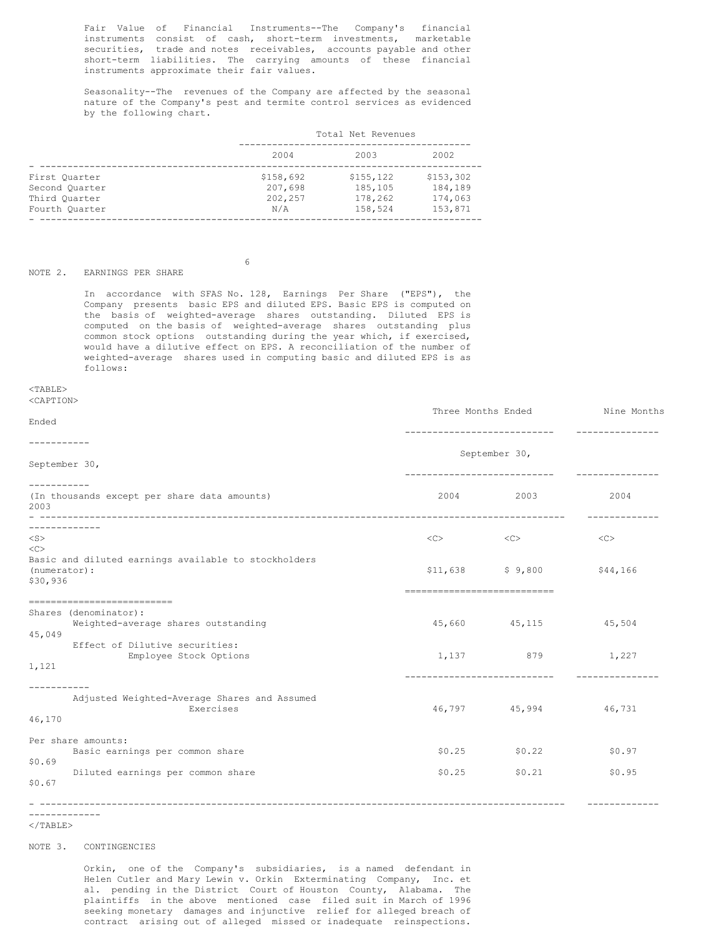Fair Value of Financial Instruments--The Company's financial instruments consist of cash, short-term investments, marketable securities, trade and notes receivables, accounts payable and other short-term liabilities. The carrying amounts of these financial instruments approximate their fair values.

Seasonality--The revenues of the Company are affected by the seasonal nature of the Company's pest and termite control services as evidenced by the following chart.

| Total Net Revenues |  |  |
|--------------------|--|--|
|--------------------|--|--|

|                | 2004      | 2003      | 2002      |  |  |
|----------------|-----------|-----------|-----------|--|--|
|                |           |           |           |  |  |
| First Ouarter  | \$158,692 | \$155,122 | \$153,302 |  |  |
| Second Quarter | 207,698   | 185,105   | 184,189   |  |  |
| Third Ouarter  | 202,257   | 178,262   | 174,063   |  |  |
| Fourth Ouarter | N/A       | 158,524   | 153,871   |  |  |
|                |           |           |           |  |  |

6

#### NOTE 2. EARNINGS PER SHARE

In accordance with SFAS No. 128, Earnings Per Share ("EPS"), the Company presents basic EPS and diluted EPS. Basic EPS is computed on the basis of weighted-average shares outstanding. Diluted EPS is computed on the basis of weighted-average shares outstanding plus common stock options outstanding during the year which, if exercised, would have a dilutive effect on EPS. A reconciliation of the number of weighted-average shares used in computing basic and diluted EPS is as follows:

# <TABLE>

<CAPTION>

| Ended                                                                                          |           | Three Months Ended                             |          |  |  |
|------------------------------------------------------------------------------------------------|-----------|------------------------------------------------|----------|--|--|
| September 30,                                                                                  |           | September 30,                                  |          |  |  |
| -----------<br>(In thousands except per share data amounts)<br>2003                            | 2004      | 2003                                           | 2004     |  |  |
| $<$ S $>$<br><<                                                                                | $<\infty$ | <<>                                            | <<       |  |  |
| Basic and diluted earnings available to stockholders<br>(numerator):<br>\$30,936               |           | $$11,638$ $$9,800$<br>------------------------ | \$44,166 |  |  |
| --------------------<br>Shares (denominator):<br>Weighted-average shares outstanding<br>45,049 |           | 45,660 45,115                                  | 45,504   |  |  |
| Effect of Dilutive securities:<br>Employee Stock Options<br>1,121                              | 1,137     | 879                                            | 1,227    |  |  |
| Adjusted Weighted-Average Shares and Assumed<br>Exercises<br>46,170                            |           | 46,797 45,994                                  | 46,731   |  |  |
| Per share amounts:<br>Basic earnings per common share<br>\$0.69                                | \$0.25    | \$0.22                                         | \$0.97   |  |  |
| Diluted earnings per common share<br>\$0.67                                                    | \$0.25    | \$0.21                                         | \$0.95   |  |  |
|                                                                                                |           |                                                |          |  |  |

#### ------------- </TABLE>

NOTE 3. CONTINGENCIES

Orkin, one of the Company's subsidiaries, is a named defendant in Helen Cutler and Mary Lewin v. Orkin Exterminating Company, Inc. et al. pending in the District Court of Houston County, Alabama. The plaintiffs in the above mentioned case filed suit in March of 1996 seeking monetary damages and injunctive relief for alleged breach of contract arising out of alleged missed or inadequate reinspections.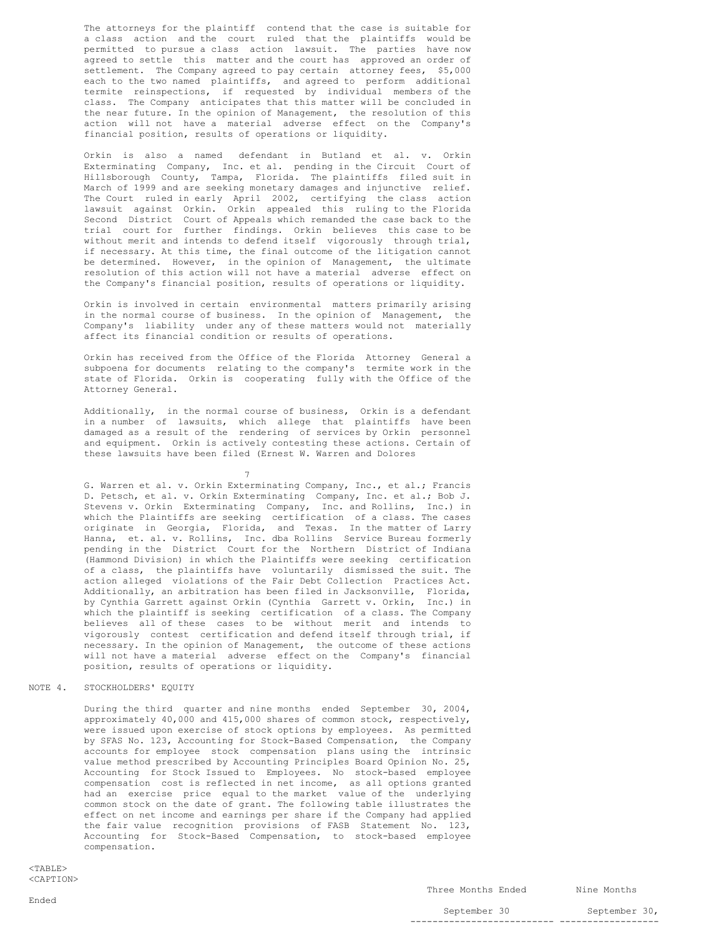The attorneys for the plaintiff contend that the case is suitable for a class action and the court ruled that the plaintiffs would be permitted to pursue a class action lawsuit. The parties have now agreed to settle this matter and the court has approved an order of settlement. The Company agreed to pay certain attorney fees, \$5,000 each to the two named plaintiffs, and agreed to perform additional termite reinspections, if requested by individual members of the class. The Company anticipates that this matter will be concluded in the near future. In the opinion of Management, the resolution of this action will not have a material adverse effect on the Company's financial position, results of operations or liquidity.

Orkin is also a named defendant in Butland et al. v. Orkin Exterminating Company, Inc. et al. pending in the Circuit Court of Hillsborough County, Tampa, Florida. The plaintiffs filed suit in March of 1999 and are seeking monetary damages and injunctive relief. The Court ruled in early April 2002, certifying the class action lawsuit against Orkin. Orkin appealed this ruling to the Florida Second District Court of Appeals which remanded the case back to the trial court for further findings. Orkin believes this case to be without merit and intends to defend itself vigorously through trial, if necessary. At this time, the final outcome of the litigation cannot be determined. However, in the opinion of Management, the ultimate resolution of this action will not have a material adverse effect on the Company's financial position, results of operations or liquidity.

Orkin is involved in certain environmental matters primarily arising in the normal course of business. In the opinion of Management, the Company's liability under any of these matters would not materially affect its financial condition or results of operations.

Orkin has received from the Office of the Florida Attorney General a subpoena for documents relating to the company's termite work in the state of Florida. Orkin is cooperating fully with the Office of the Attorney General.

Additionally, in the normal course of business, Orkin is a defendant in a number of lawsuits, which allege that plaintiffs have been damaged as a result of the rendering of services by Orkin personnel and equipment. Orkin is actively contesting these actions. Certain of these lawsuits have been filed (Ernest W. Warren and Dolores

7

G. Warren et al. v. Orkin Exterminating Company, Inc., et al.; Francis D. Petsch, et al. v. Orkin Exterminating Company, Inc. et al.; Bob J. Stevens v. Orkin Exterminating Company, Inc. and Rollins, Inc.) in which the Plaintiffs are seeking certification of a class. The cases originate in Georgia, Florida, and Texas. In the matter of Larry Hanna, et. al. v. Rollins, Inc. dba Rollins Service Bureau formerly pending in the District Court for the Northern District of Indiana (Hammond Division) in which the Plaintiffs were seeking certification of a class, the plaintiffs have voluntarily dismissed the suit. The action alleged violations of the Fair Debt Collection Practices Act. Additionally, an arbitration has been filed in Jacksonville, Florida, by Cynthia Garrett against Orkin (Cynthia Garrett v. Orkin, Inc.) in which the plaintiff is seeking certification of a class. The Company believes all of these cases to be without merit and intends to vigorously contest certification and defend itself through trial, if necessary. In the opinion of Management, the outcome of these actions will not have a material adverse effect on the Company's financial position, results of operations or liquidity.

### NOTE 4. STOCKHOLDERS' EQUITY

During the third quarter and nine months ended September 30, 2004, approximately 40,000 and 415,000 shares of common stock, respectively, were issued upon exercise of stock options by employees. As permitted by SFAS No. 123, Accounting for Stock-Based Compensation, the Company accounts for employee stock compensation plans using the intrinsic value method prescribed by Accounting Principles Board Opinion No. 25, Accounting for Stock Issued to Employees. No stock-based employee compensation cost is reflected in net income, as all options granted had an exercise price equal to the market value of the underlying common stock on the date of grant. The following table illustrates the effect on net income and earnings per share if the Company had applied the fair value recognition provisions of FASB Statement No. 123, Accounting for Stock-Based Compensation, to stock-based employee compensation.

 $<$ TABLE> <CAPTION>

Three Months Ended Nine Months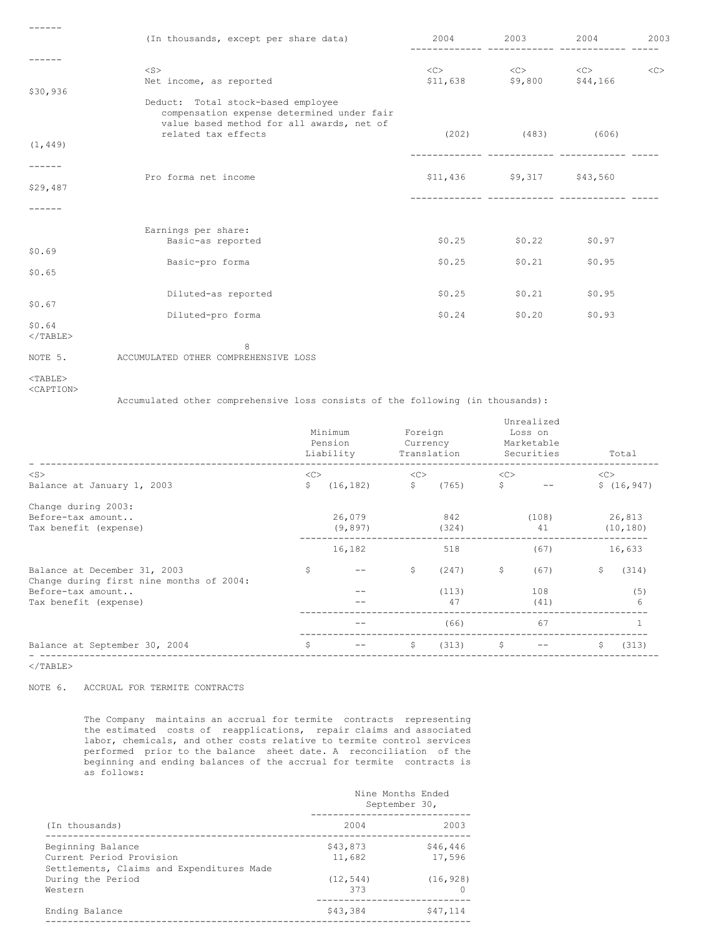|             | (In thousands, except per share data)                                                                                         | 2004       | 2003                         | 2004                | 2003 |
|-------------|-------------------------------------------------------------------------------------------------------------------------------|------------|------------------------------|---------------------|------|
|             |                                                                                                                               |            |                              |                     |      |
|             | $<$ S $>$                                                                                                                     | $<\infty>$ | $\langle C \rangle$          | $\langle C \rangle$ | <<   |
|             | Net income, as reported                                                                                                       | \$11,638   | \$9,800                      | \$44,166            |      |
| \$30,936    | Deduct: Total stock-based employee<br>compensation expense determined under fair<br>value based method for all awards, net of |            |                              |                     |      |
| (1, 449)    | related tax effects                                                                                                           | (202)      | $(483)$ (606)                |                     |      |
|             |                                                                                                                               |            |                              |                     |      |
|             |                                                                                                                               |            |                              |                     |      |
| \$29,487    | Pro forma net income                                                                                                          |            | $$11,436$ $$9,317$ $$43,560$ |                     |      |
|             |                                                                                                                               |            |                              |                     |      |
|             |                                                                                                                               |            |                              |                     |      |
|             | Earnings per share:                                                                                                           |            |                              |                     |      |
|             | Basic-as reported                                                                                                             | \$0.25     | \$0.22                       | \$0.97              |      |
| \$0.69      | Basic-pro forma                                                                                                               | \$0.25     | \$0.21                       | \$0.95              |      |
| \$0.65      |                                                                                                                               |            |                              |                     |      |
|             | Diluted-as reported                                                                                                           | \$0.25     | \$0.21                       | \$0.95              |      |
| \$0.67      |                                                                                                                               |            |                              |                     |      |
| \$0.64      | Diluted-pro forma                                                                                                             | \$0.24     | \$0.20                       | \$0.93              |      |
| $<$ /TABLE> |                                                                                                                               |            |                              |                     |      |
|             | 8                                                                                                                             |            |                              |                     |      |

NOTE 5. ACCUMULATED OTHER COMPREHENSIVE LOSS

<TABLE>

<CAPTION>

Accumulated other comprehensive loss consists of the following (in thousands):

|                                                                          |    | Minimum<br>Pension<br>Liability | Foreign      | Currency<br>Translation |    | Unrealized<br>Loss on<br>Marketable<br>Securities |     | Total       |
|--------------------------------------------------------------------------|----|---------------------------------|--------------|-------------------------|----|---------------------------------------------------|-----|-------------|
| $<$ S $>$                                                                | << |                                 | $<<$ $<$ $>$ |                         | << |                                                   | <<  |             |
| Balance at January 1, 2003                                               | \$ | (16, 182)                       | \$           | (765)                   | \$ |                                                   |     | \$(16, 947) |
| Change during 2003:                                                      |    |                                 |              |                         |    |                                                   |     |             |
| Before-tax amount                                                        |    | 26,079                          |              | 842                     |    | (108)                                             |     | 26,813      |
| Tax benefit (expense)                                                    |    | (9, 897)                        |              | (324)                   |    | 41                                                |     | (10, 180)   |
|                                                                          |    | 16,182                          |              | 518                     |    | (67)                                              |     | 16,633      |
| Balance at December 31, 2003<br>Change during first nine months of 2004: | Ŝ. |                                 | \$           | (247)                   | \$ | (67)                                              | \$  | (314)       |
| Before-tax amount                                                        |    |                                 |              | (113)                   |    | 108                                               |     | (5)         |
| Tax benefit (expense)                                                    |    |                                 |              | 47                      |    | (41)                                              |     | 6           |
|                                                                          |    |                                 |              | (66)                    |    | 67                                                |     | 1           |
| Balance at September 30, 2004                                            | \$ |                                 | \$           | (313)                   | \$ |                                                   | \$. | (313)       |
|                                                                          |    |                                 |              |                         |    |                                                   |     |             |

 $<$ /TABLE>

NOTE 6. ACCRUAL FOR TERMITE CONTRACTS

The Company maintains an accrual for termite contracts representing the estimated costs of reapplications, repair claims and associated labor, chemicals, and other costs relative to termite control services performed prior to the balance sheet date. A reconciliation of the beginning and ending balances of the accrual for termite contracts is as follows:

|                                                                                            | Nine Months Ended<br>September 30, |                    |  |  |  |
|--------------------------------------------------------------------------------------------|------------------------------------|--------------------|--|--|--|
| (In thousands)                                                                             | 2004                               | 2003               |  |  |  |
| Beginning Balance<br>Current Period Provision<br>Settlements, Claims and Expenditures Made | \$43,873<br>11,682                 | \$46,446<br>17,596 |  |  |  |
| During the Period<br>Western                                                               | (12, 544)<br>373                   | (16, 928)          |  |  |  |
| Ending Balance                                                                             | \$43,384                           | \$47,114           |  |  |  |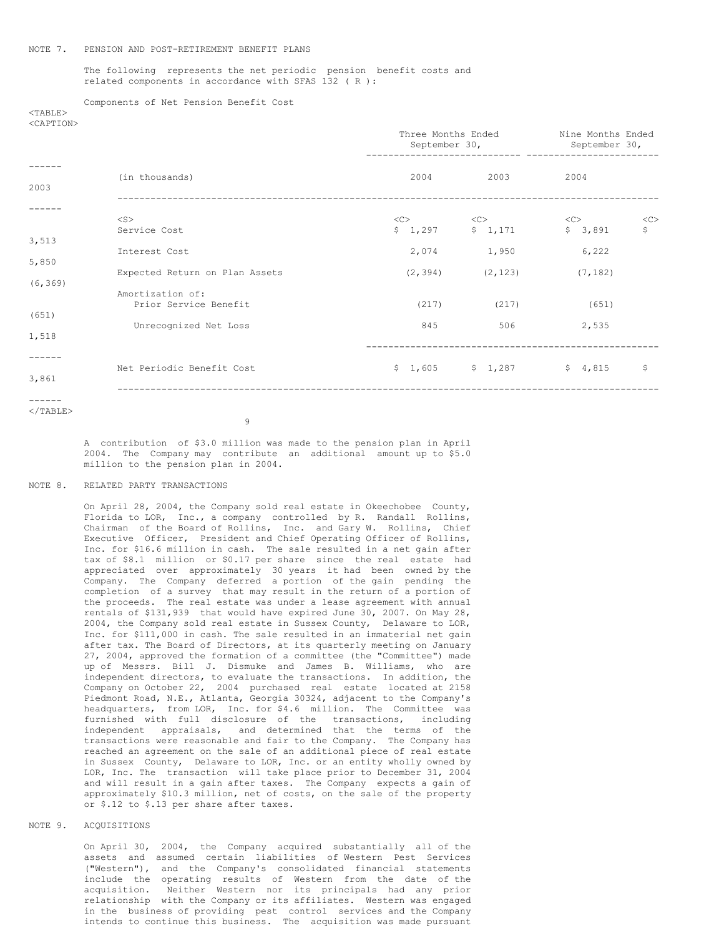#### NOTE 7. PENSION AND POST-RETIREMENT BENEFIT PLANS

The following represents the net periodic pension benefit costs and related components in accordance with SFAS 132 ( R ):

Components of Net Pension Benefit Cost

<TABLE> <CAPTION>

|          |                                | Three Months Ended<br>September 30, | Nine Months Ended<br>September 30, |          |            |
|----------|--------------------------------|-------------------------------------|------------------------------------|----------|------------|
|          | (in thousands)                 | 2004                                | 2003                               | 2004     |            |
| 2003     |                                |                                     |                                    |          |            |
|          |                                |                                     |                                    |          |            |
|          | $<$ S>                         | $<\infty$                           | $<<$ $>$                           | <<       | $<<$ C $>$ |
|          | Service Cost                   | \$1,297                             | \$1,171                            | \$3,891  | \$         |
| 3,513    |                                |                                     |                                    |          |            |
|          | Interest Cost                  | 2,074                               | 1,950                              | 6,222    |            |
| 5,850    |                                |                                     |                                    |          |            |
| (6, 369) | Expected Return on Plan Assets | (2, 394)                            | (2, 123)                           | (7, 182) |            |
|          | Amortization of:               |                                     |                                    |          |            |
|          | Prior Service Benefit          | (217)                               | (217)                              | (651)    |            |
| (651)    |                                |                                     |                                    |          |            |
|          | Unrecognized Net Loss          | 845                                 | 506                                | 2,535    |            |
| 1,518    |                                |                                     |                                    |          |            |
|          |                                |                                     |                                    |          |            |
|          | Net Periodic Benefit Cost      |                                     | $$1,605$ $$1,287$                  | \$4,815  | \$         |
| 3,861    |                                |                                     |                                    |          |            |
|          |                                |                                     |                                    |          |            |

 $<$ /TABLE>

9

A contribution of \$3.0 million was made to the pension plan in April 2004. The Company may contribute an additional amount up to \$5.0 million to the pension plan in 2004.

### NOTE 8. RELATED PARTY TRANSACTIONS

On April 28, 2004, the Company sold real estate in Okeechobee County, Florida to LOR, Inc., a company controlled by R. Randall Rollins, Chairman of the Board of Rollins, Inc. and Gary W. Rollins, Chief Executive Officer, President and Chief Operating Officer of Rollins, Inc. for \$16.6 million in cash. The sale resulted in a net gain after tax of \$8.1 million or \$0.17 per share since the real estate had appreciated over approximately 30 years it had been owned by the Company. The Company deferred a portion of the gain pending the completion of a survey that may result in the return of a portion of the proceeds. The real estate was under a lease agreement with annual rentals of \$131,939 that would have expired June 30, 2007. On May 28, 2004, the Company sold real estate in Sussex County, Delaware to LOR, Inc. for \$111,000 in cash. The sale resulted in an immaterial net gain after tax. The Board of Directors, at its quarterly meeting on January 27, 2004, approved the formation of a committee (the "Committee") made up of Messrs. Bill J. Dismuke and James B. Williams, who are independent directors, to evaluate the transactions. In addition, the Company on October 22, 2004 purchased real estate located at 2158 Piedmont Road, N.E., Atlanta, Georgia 30324, adjacent to the Company's headquarters, from LOR, Inc. for \$4.6 million. The Committee was furnished with full disclosure of the transactions, including independent appraisals, and determined that the terms of the transactions were reasonable and fair to the Company. The Company has reached an agreement on the sale of an additional piece of real estate in Sussex County, Delaware to LOR, Inc. or an entity wholly owned by LOR, Inc. The transaction will take place prior to December 31, 2004 and will result in a gain after taxes. The Company expects a gain of approximately \$10.3 million, net of costs, on the sale of the property or \$.12 to \$.13 per share after taxes.

NOTE 9. ACQUISITIONS

On April 30, 2004, the Company acquired substantially all of the assets and assumed certain liabilities of Western Pest Services ("Western"), and the Company's consolidated financial statements include the operating results of Western from the date of the acquisition. Neither Western nor its principals had any prior relationship with the Company or its affiliates. Western was engaged in the business of providing pest control services and the Company intends to continue this business. The acquisition was made pursuant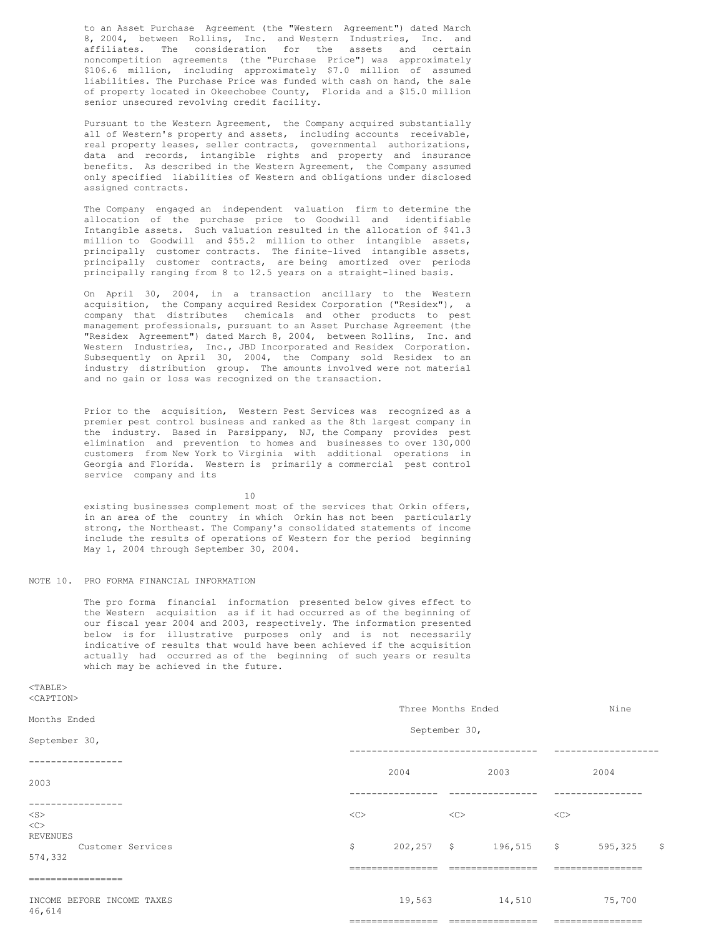to an Asset Purchase Agreement (the "Western Agreement") dated March 8, 2004, between Rollins, Inc. and Western Industries, Inc. and affiliates. The consideration for the assets and certain noncompetition agreements (the "Purchase Price") was approximately \$106.6 million, including approximately \$7.0 million of assumed liabilities. The Purchase Price was funded with cash on hand, the sale of property located in Okeechobee County, Florida and a \$15.0 million senior unsecured revolving credit facility.

Pursuant to the Western Agreement, the Company acquired substantially all of Western's property and assets, including accounts receivable, real property leases, seller contracts, governmental authorizations, data and records, intangible rights and property and insurance benefits. As described in the Western Agreement, the Company assumed only specified liabilities of Western and obligations under disclosed assigned contracts.

The Company engaged an independent valuation firm to determine the allocation of the purchase price to Goodwill and identifiable Intangible assets. Such valuation resulted in the allocation of \$41.3 million to Goodwill and \$55.2 million to other intangible assets, principally customer contracts. The finite-lived intangible assets, principally customer contracts, are being amortized over periods principally ranging from 8 to 12.5 years on a straight-lined basis.

On April 30, 2004, in a transaction ancillary to the Western acquisition, the Company acquired Residex Corporation ("Residex"), a company that distributes chemicals and other products to pest management professionals, pursuant to an Asset Purchase Agreement (the "Residex Agreement") dated March 8, 2004, between Rollins, Inc. and Western Industries, Inc., JBD Incorporated and Residex Corporation. Subsequently on April 30, 2004, the Company sold Residex to an industry distribution group. The amounts involved were not material and no gain or loss was recognized on the transaction.

Prior to the acquisition, Western Pest Services was recognized as a premier pest control business and ranked as the 8th largest company in the industry. Based in Parsippany, NJ, the Company provides pest elimination and prevention to homes and businesses to over 130,000 customers from New York to Virginia with additional operations in Georgia and Florida. Western is primarily a commercial pest control service company and its

10

existing businesses complement most of the services that Orkin offers, in an area of the country in which Orkin has not been particularly strong, the Northeast. The Company's consolidated statements of income include the results of operations of Western for the period beginning May 1, 2004 through September 30, 2004.

## NOTE 10. PRO FORMA FINANCIAL INFORMATION

The pro forma financial information presented below gives effect to the Western acquisition as if it had occurred as of the beginning of our fiscal year 2004 and 2003, respectively. The information presented below is for illustrative purposes only and is not necessarily indicative of results that would have been achieved if the acquisition actually had occurred as of the beginning of such years or results which may be achieved in the future.

 $<$ TABLE> <CAPTION>

| Months Ended                         | Three Months Ended<br>September 30, |                                   |    |                    |    | Nine                     |               |  |
|--------------------------------------|-------------------------------------|-----------------------------------|----|--------------------|----|--------------------------|---------------|--|
| September 30,                        |                                     |                                   |    |                    |    |                          |               |  |
| ----------------                     |                                     |                                   |    |                    |    |                          |               |  |
| 2003                                 |                                     | 2004                              |    | 2003               |    | 2004                     |               |  |
|                                      |                                     |                                   |    |                    |    |                          |               |  |
| $<$ S $>$<br><<<br>REVENUES          | <<                                  |                                   | << |                    | << |                          |               |  |
| Customer Services<br>574,332         | \$                                  | $202, 257$ \$<br>---------------- |    | $196, 515$ \$<br>. |    | 595,325<br>------------- | $\mathcal{S}$ |  |
| =================                    |                                     |                                   |    |                    |    |                          |               |  |
| INCOME BEFORE INCOME TAXES<br>46,614 |                                     | 19,563                            |    | 14,510             |    | 75,700                   |               |  |

================ ================ ================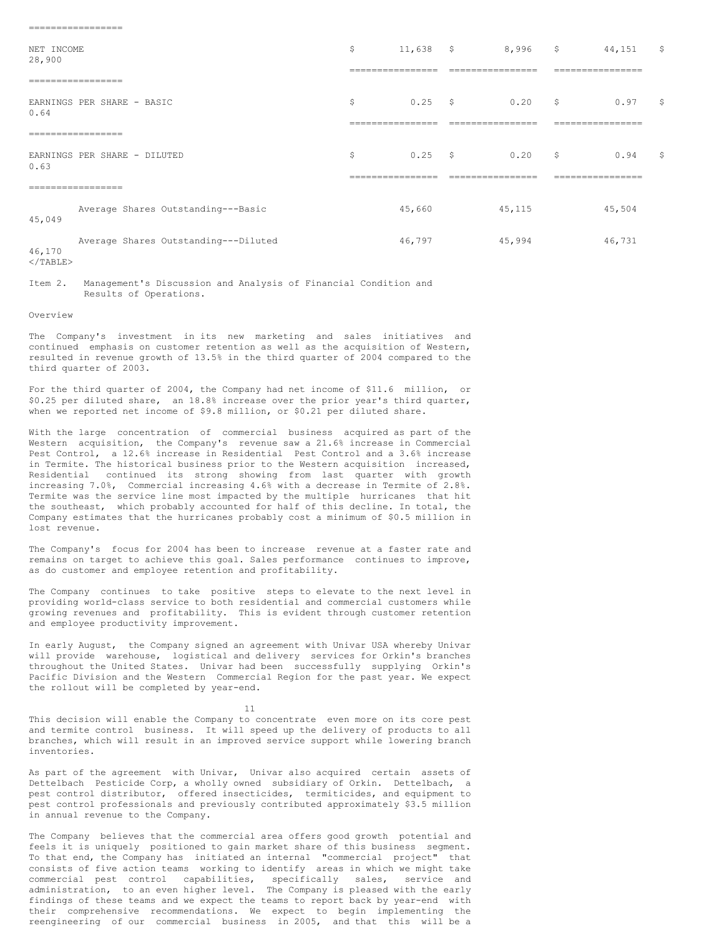=================

| NET INCOME<br>28,900                 |                                      | \$ | $11,638$ \$<br>================ | $8,996$ \$<br>================ | $44,151$ \$<br>================ |  |
|--------------------------------------|--------------------------------------|----|---------------------------------|--------------------------------|---------------------------------|--|
|                                      | =================                    |    |                                 |                                |                                 |  |
| EARNINGS PER SHARE - BASIC<br>0.64   |                                      |    | $0.25$ \$                       | 0.20 S                         | $0.97$ \$                       |  |
|                                      | =================                    |    | ================                | --------------------           | ----------------                |  |
| EARNINGS PER SHARE - DILUTED<br>0.63 |                                      |    | $0.25$ \$<br>=============      | $0.20$ \$                      | $0.94$ \$<br>=============      |  |
|                                      | -----------------                    |    |                                 |                                |                                 |  |
| 45,049                               | Average Shares Outstanding---Basic   |    | 45,660                          | 45,115                         | 45,504                          |  |
| 46,170                               | Average Shares Outstanding---Diluted |    | 46,797                          | 45,994                         | 46,731                          |  |

</TABLE>

Item 2. Management's Discussion and Analysis of Financial Condition and Results of Operations.

Overview

The Company's investment in its new marketing and sales initiatives and continued emphasis on customer retention as well as the acquisition of Western, resulted in revenue growth of 13.5% in the third quarter of 2004 compared to the third quarter of 2003.

For the third quarter of 2004, the Company had net income of \$11.6 million, or \$0.25 per diluted share, an 18.8% increase over the prior year's third quarter, when we reported net income of \$9.8 million, or \$0.21 per diluted share.

With the large concentration of commercial business acquired as part of the Western acquisition, the Company's revenue saw a 21.6% increase in Commercial Pest Control, a 12.6% increase in Residential Pest Control and a 3.6% increase in Termite. The historical business prior to the Western acquisition increased, Residential continued its strong showing from last quarter with growth increasing 7.0%, Commercial increasing 4.6% with a decrease in Termite of 2.8%. Termite was the service line most impacted by the multiple hurricanes that hit the southeast, which probably accounted for half of this decline. In total, the Company estimates that the hurricanes probably cost a minimum of \$0.5 million in lost revenue.

The Company's focus for 2004 has been to increase revenue at a faster rate and remains on target to achieve this goal. Sales performance continues to improve, as do customer and employee retention and profitability.

The Company continues to take positive steps to elevate to the next level in providing world-class service to both residential and commercial customers while growing revenues and profitability. This is evident through customer retention and employee productivity improvement.

In early August, the Company signed an agreement with Univar USA whereby Univar will provide warehouse, logistical and delivery services for Orkin's branches throughout the United States. Univar had been successfully supplying Orkin's Pacific Division and the Western Commercial Region for the past year. We expect the rollout will be completed by year-end.

11

This decision will enable the Company to concentrate even more on its core pest and termite control business. It will speed up the delivery of products to all branches, which will result in an improved service support while lowering branch inventories.

As part of the agreement with Univar, Univar also acquired certain assets of Dettelbach Pesticide Corp, a wholly owned subsidiary of Orkin. Dettelbach, a pest control distributor, offered insecticides, termiticides, and equipment to pest control professionals and previously contributed approximately \$3.5 million in annual revenue to the Company.

The Company believes that the commercial area offers good growth potential and feels it is uniquely positioned to gain market share of this business segment. To that end, the Company has initiated an internal "commercial project" that consists of five action teams working to identify areas in which we might take commercial pest control capabilities, specifically sales, service and administration, to an even higher level. The Company is pleased with the early findings of these teams and we expect the teams to report back by year-end with their comprehensive recommendations. We expect to begin implementing the reengineering of our commercial business in 2005, and that this will be a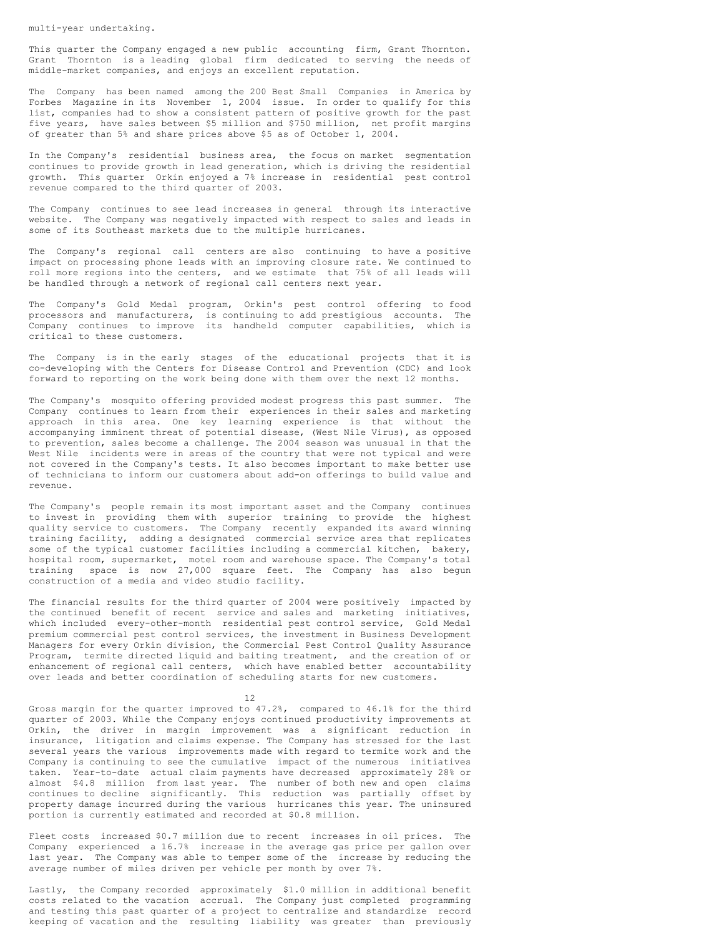multi-year undertaking.

This quarter the Company engaged a new public accounting firm, Grant Thornton. Grant Thornton is a leading global firm dedicated to serving the needs of middle-market companies, and enjoys an excellent reputation.

The Company has been named among the 200 Best Small Companies in America by Forbes Magazine in its November 1, 2004 issue. In order to qualify for this list, companies had to show a consistent pattern of positive growth for the past five years, have sales between \$5 million and \$750 million, net profit margins of greater than 5% and share prices above \$5 as of October 1, 2004.

In the Company's residential business area, the focus on market segmentation continues to provide growth in lead generation, which is driving the residential growth. This quarter Orkin enjoyed a 7% increase in residential pest control revenue compared to the third quarter of 2003.

The Company continues to see lead increases in general through its interactive website. The Company was negatively impacted with respect to sales and leads in some of its Southeast markets due to the multiple hurricanes.

The Company's regional call centers are also continuing to have a positive impact on processing phone leads with an improving closure rate. We continued to roll more regions into the centers, and we estimate that 75% of all leads will be handled through a network of regional call centers next year.

The Company's Gold Medal program, Orkin's pest control offering to food processors and manufacturers, is continuing to add prestigious accounts. The Company continues to improve its handheld computer capabilities, which is critical to these customers.

The Company is in the early stages of the educational projects that it is co-developing with the Centers for Disease Control and Prevention (CDC) and look forward to reporting on the work being done with them over the next 12 months.

The Company's mosquito offering provided modest progress this past summer. The Company continues to learn from their experiences in their sales and marketing approach in this area. One key learning experience is that without the accompanying imminent threat of potential disease, (West Nile Virus), as opposed to prevention, sales become a challenge. The 2004 season was unusual in that the West Nile incidents were in areas of the country that were not typical and were not covered in the Company's tests. It also becomes important to make better use of technicians to inform our customers about add-on offerings to build value and revenue.

The Company's people remain its most important asset and the Company continues to invest in providing them with superior training to provide the highest quality service to customers. The Company recently expanded its award winning training facility, adding a designated commercial service area that replicates some of the typical customer facilities including a commercial kitchen, bakery, hospital room, supermarket, motel room and warehouse space. The Company's total training space is now 27,000 square feet. The Company has also begun construction of a media and video studio facility.

The financial results for the third quarter of 2004 were positively impacted by the continued benefit of recent service and sales and marketing initiatives, which included every-other-month residential pest control service, Gold Medal premium commercial pest control services, the investment in Business Development Managers for every Orkin division, the Commercial Pest Control Quality Assurance Program, termite directed liquid and baiting treatment, and the creation of or enhancement of regional call centers, which have enabled better accountability over leads and better coordination of scheduling starts for new customers.

12

Gross margin for the quarter improved to 47.2%, compared to 46.1% for the third quarter of 2003. While the Company enjoys continued productivity improvements at Orkin, the driver in margin improvement was a significant reduction in insurance, litigation and claims expense. The Company has stressed for the last several years the various improvements made with regard to termite work and the Company is continuing to see the cumulative impact of the numerous initiatives taken. Year-to-date actual claim payments have decreased approximately 28% or almost \$4.8 million from last year. The number of both new and open claims continues to decline significantly. This reduction was partially offset by property damage incurred during the various hurricanes this year. The uninsured portion is currently estimated and recorded at \$0.8 million.

Fleet costs increased \$0.7 million due to recent increases in oil prices. The Company experienced a 16.7% increase in the average gas price per gallon over last year. The Company was able to temper some of the increase by reducing the average number of miles driven per vehicle per month by over 7%.

Lastly, the Company recorded approximately \$1.0 million in additional benefit costs related to the vacation accrual. The Company just completed programming and testing this past quarter of a project to centralize and standardize record keeping of vacation and the resulting liability was greater than previously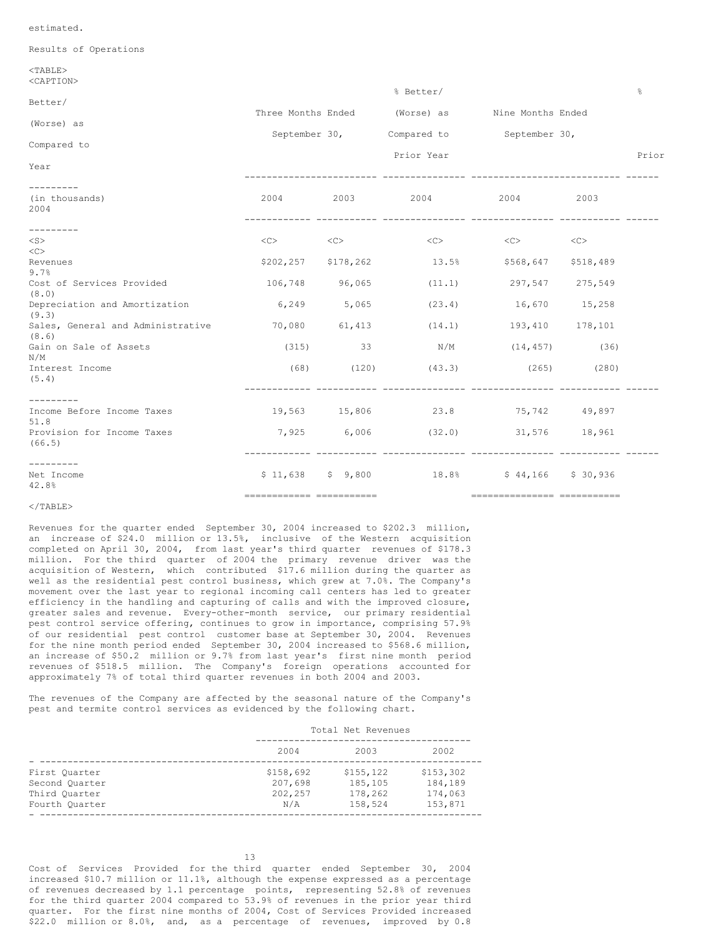estimated.

Results of Operations

| $<$ TABLE><br><caption></caption>                |                                         |        |                                                 |                               |                  |                |
|--------------------------------------------------|-----------------------------------------|--------|-------------------------------------------------|-------------------------------|------------------|----------------|
|                                                  |                                         |        | % Better/                                       |                               |                  | $\frac{6}{10}$ |
| Better/                                          |                                         |        | Three Months Ended (Worse) as Nine Months Ended |                               |                  |                |
| (Worse) as                                       |                                         |        |                                                 |                               |                  |                |
| Compared to                                      |                                         |        | September 30, Compared to September 30,         |                               |                  |                |
|                                                  |                                         |        | Prior Year                                      |                               |                  | Prior          |
| Year                                             |                                         |        |                                                 |                               |                  |                |
| (in thousands)<br>2004                           |                                         |        | 2004 2003 2004 2004 2004                        |                               | 2003             |                |
| ---------<br>$<$ S $>$                           | $\langle C \rangle$ $\langle C \rangle$ |        | $\langle C \rangle$                             | $\langle C \rangle$           | <<>              |                |
| <<>                                              |                                         |        |                                                 |                               |                  |                |
| Revenues<br>9.7%                                 | \$202,257 \$178,262                     |        | 13.5%                                           | \$568,647                     | \$518,489        |                |
| Cost of Services Provided<br>(8.0)               | 106,748                                 | 96,065 | (11.1)                                          | 297,547 275,549               |                  |                |
| Depreciation and Amortization<br>(9.3)           | 6,249                                   | 5,065  |                                                 | $(23.4)$ 16,670 15,258        |                  |                |
| Sales, General and Administrative<br>(8.6)       | 70,080 61,413                           |        | (14.1)                                          | 193,410 178,101               |                  |                |
| Gain on Sale of Assets<br>N/M                    | (315)                                   | 33     | N/M                                             |                               | $(14, 457)$ (36) |                |
| Interest Income<br>(5.4)                         |                                         |        | $(68)$ $(120)$ $(43.3)$ $(265)$ $(280)$         |                               |                  |                |
| ----------<br>Income Before Income Taxes<br>51.8 |                                         |        | $19,563$ $15,806$ $23.8$ $75,742$ $49,897$      |                               |                  |                |
| Provision for Income Taxes<br>(66.5)             |                                         |        | 7,925 6,006 (32.0) 31,576 18,961                |                               |                  |                |
| Net Income<br>42.8%                              | ============ ===========                |        | $$11,638$ $$9,800$ $18.8$ $$44,166$ $$30,936$   | ================ ============ |                  |                |
|                                                  |                                         |        |                                                 |                               |                  |                |

# $\langle$ /TABLE>

Revenues for the quarter ended September 30, 2004 increased to \$202.3 million, an increase of \$24.0 million or 13.5%, inclusive of the Western acquisition completed on April 30, 2004, from last year's third quarter revenues of \$178.3 million. For the third quarter of 2004 the primary revenue driver was the acquisition of Western, which contributed \$17.6 million during the quarter as well as the residential pest control business, which grew at 7.0%. The Company's movement over the last year to regional incoming call centers has led to greater efficiency in the handling and capturing of calls and with the improved closure, greater sales and revenue. Every-other-month service, our primary residential pest control service offering, continues to grow in importance, comprising 57.9% of our residential pest control customer base at September 30, 2004. Revenues for the nine month period ended September 30, 2004 increased to \$568.6 million, an increase of \$50.2 million or 9.7% from last year's first nine month period revenues of \$518.5 million. The Company's foreign operations accounted for approximately 7% of total third quarter revenues in both 2004 and 2003.

The revenues of the Company are affected by the seasonal nature of the Company's pest and termite control services as evidenced by the following chart.

|                                                                    | Total Net Revenues                     |                                            |                                            |  |
|--------------------------------------------------------------------|----------------------------------------|--------------------------------------------|--------------------------------------------|--|
|                                                                    | 2004                                   | 2003                                       | 2002                                       |  |
| First Ouarter<br>Second Quarter<br>Third Ouarter<br>Fourth Quarter | \$158,692<br>207,698<br>202,257<br>N/A | \$155,122<br>185,105<br>178,262<br>158,524 | \$153,302<br>184,189<br>174,063<br>153,871 |  |
|                                                                    |                                        |                                            |                                            |  |

13

Cost of Services Provided for the third quarter ended September 30, 2004 increased \$10.7 million or 11.1%, although the expense expressed as a percentage of revenues decreased by 1.1 percentage points, representing 52.8% of revenues for the third quarter 2004 compared to 53.9% of revenues in the prior year third quarter. For the first nine months of 2004, Cost of Services Provided increased \$22.0 million or 8.0%, and, as a percentage of revenues, improved by 0.8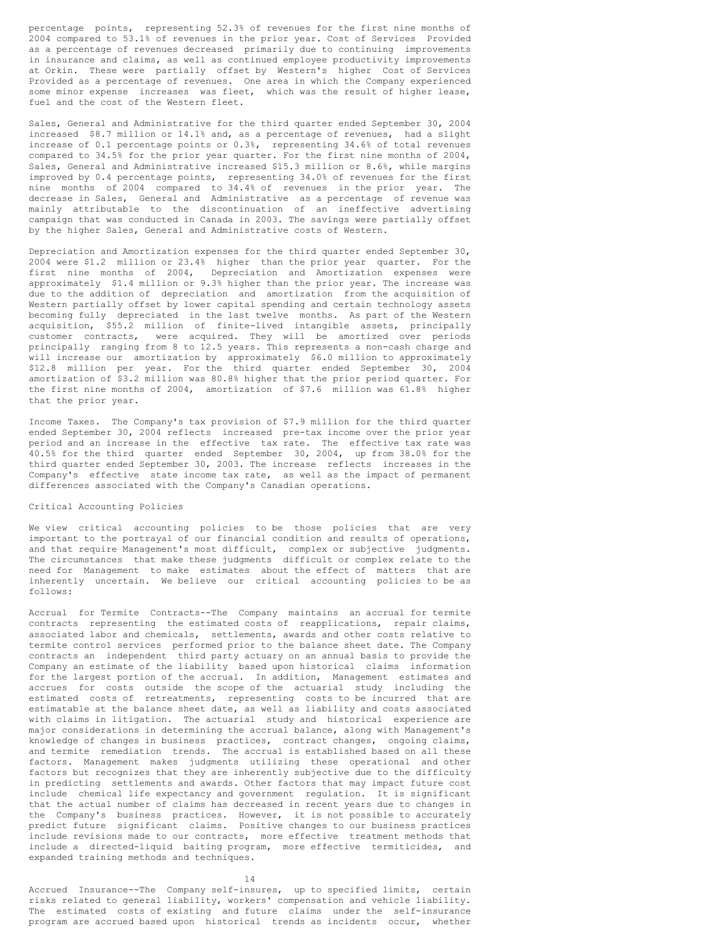percentage points, representing 52.3% of revenues for the first nine months of 2004 compared to 53.1% of revenues in the prior year. Cost of Services Provided as a percentage of revenues decreased primarily due to continuing improvements in insurance and claims, as well as continued employee productivity improvements at Orkin. These were partially offset by Western's higher Cost of Services Provided as a percentage of revenues. One area in which the Company experienced some minor expense increases was fleet, which was the result of higher lease, fuel and the cost of the Western fleet.

Sales, General and Administrative for the third quarter ended September 30, 2004 increased \$8.7 million or 14.1% and, as a percentage of revenues, had a slight increase of 0.1 percentage points or 0.3%, representing 34.6% of total revenues compared to 34.5% for the prior year quarter. For the first nine months of 2004, Sales, General and Administrative increased \$15.3 million or 8.6%, while margins improved by 0.4 percentage points, representing 34.0% of revenues for the first nine months of 2004 compared to 34.4% of revenues in the prior year. The decrease in Sales, General and Administrative as a percentage of revenue was mainly attributable to the discontinuation of an ineffective advertising campaign that was conducted in Canada in 2003. The savings were partially offset by the higher Sales, General and Administrative costs of Western.

Depreciation and Amortization expenses for the third quarter ended September 30, 2004 were \$1.2 million or 23.4% higher than the prior year quarter. For the first nine months of 2004, Depreciation and Amortization expenses were approximately \$1.4 million or 9.3% higher than the prior year. The increase was due to the addition of depreciation and amortization from the acquisition of Western partially offset by lower capital spending and certain technology assets becoming fully depreciated in the last twelve months. As part of the Western acquisition, \$55.2 million of finite-lived intangible assets, principally customer contracts, were acquired. They will be amortized over periods principally ranging from 8 to 12.5 years. This represents a non-cash charge and will increase our amortization by approximately \$6.0 million to approximately \$12.8 million per year. For the third quarter ended September 30, 2004 amortization of \$3.2 million was 80.8% higher that the prior period quarter. For the first nine months of 2004, amortization of \$7.6 million was 61.8% higher that the prior year.

Income Taxes. The Company's tax provision of \$7.9 million for the third quarter ended September 30, 2004 reflects increased pre-tax income over the prior year period and an increase in the effective tax rate. The effective tax rate was 40.5% for the third quarter ended September 30, 2004, up from 38.0% for the third quarter ended September 30, 2003. The increase reflects increases in the Company's effective state income tax rate, as well as the impact of permanent differences associated with the Company's Canadian operations.

# Critical Accounting Policies

We view critical accounting policies to be those policies that are very important to the portrayal of our financial condition and results of operations, and that require Management's most difficult, complex or subjective judgments. The circumstances that make these judgments difficult or complex relate to the need for Management to make estimates about the effect of matters that are inherently uncertain. We believe our critical accounting policies to be as follows:

Accrual for Termite Contracts--The Company maintains an accrual for termite contracts representing the estimated costs of reapplications, repair claims, associated labor and chemicals, settlements, awards and other costs relative to termite control services performed prior to the balance sheet date. The Company contracts an independent third party actuary on an annual basis to provide the Company an estimate of the liability based upon historical claims information for the largest portion of the accrual. In addition, Management estimates and accrues for costs outside the scope of the actuarial study including the estimated costs of retreatments, representing costs to be incurred that are estimatable at the balance sheet date, as well as liability and costs associated with claims in litigation. The actuarial study and historical experience are major considerations in determining the accrual balance, along with Management's knowledge of changes in business practices, contract changes, ongoing claims, and termite remediation trends. The accrual is established based on all these factors. Management makes judgments utilizing these operational and other factors but recognizes that they are inherently subjective due to the difficulty in predicting settlements and awards. Other factors that may impact future cost include chemical life expectancy and government regulation. It is significant that the actual number of claims has decreased in recent years due to changes in the Company's business practices. However, it is not possible to accurately predict future significant claims. Positive changes to our business practices include revisions made to our contracts, more effective treatment methods that include a directed-liquid baiting program, more effective termiticides, and expanded training methods and techniques.

14

Accrued Insurance--The Company self-insures, up to specified limits, certain risks related to general liability, workers' compensation and vehicle liability. The estimated costs of existing and future claims under the self-insurance program are accrued based upon historical trends as incidents occur, whether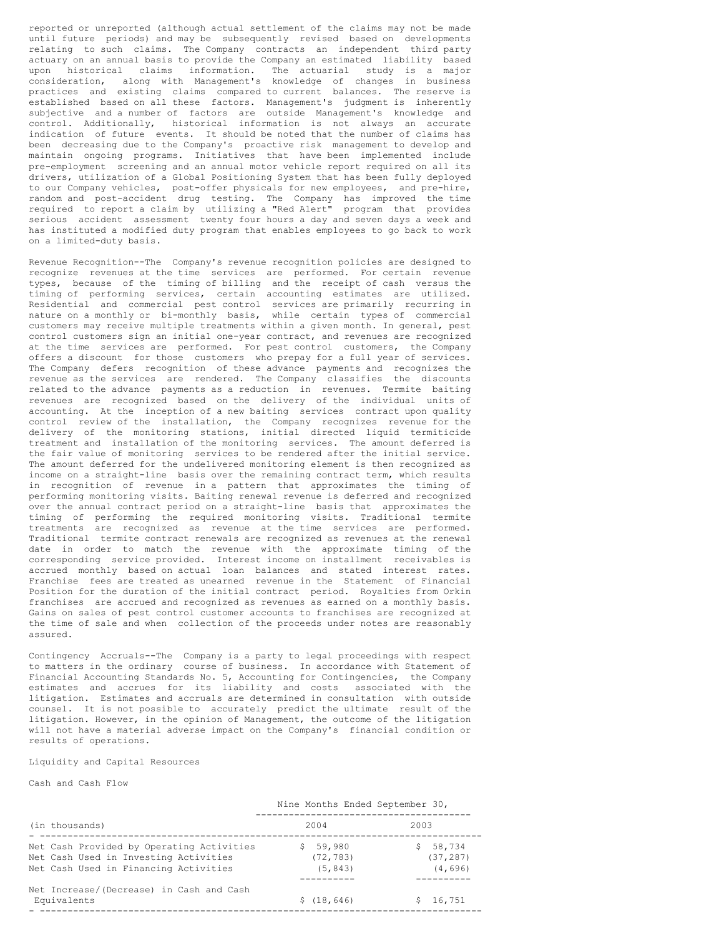reported or unreported (although actual settlement of the claims may not be made until future periods) and may be subsequently revised based on developments relating to such claims. The Company contracts an independent third party actuary on an annual basis to provide the Company an estimated liability based upon historical claims information. The actuarial study is a major consideration, along with Management's knowledge of changes in business practices and existing claims compared to current balances. The reserve is established based on all these factors. Management's judgment is inherently subjective and a number of factors are outside Management's knowledge and control. Additionally, historical information is not always an accurate indication of future events. It should be noted that the number of claims has been decreasing due to the Company's proactive risk management to develop and maintain ongoing programs. Initiatives that have been implemented include pre-employment screening and an annual motor vehicle report required on all its drivers, utilization of a Global Positioning System that has been fully deployed to our Company vehicles, post-offer physicals for new employees, and pre-hire, random and post-accident drug testing. The Company has improved the time required to report a claim by utilizing a "Red Alert" program that provides serious accident assessment twenty four hours a day and seven days a week and has instituted a modified duty program that enables employees to go back to work on a limited-duty basis.

Revenue Recognition--The Company's revenue recognition policies are designed to recognize revenues at the time services are performed. For certain revenue types, because of the timing of billing and the receipt of cash versus the timing of performing services, certain accounting estimates are utilized. Residential and commercial pest control services are primarily recurring in nature on a monthly or bi-monthly basis, while certain types of commercial customers may receive multiple treatments within a given month. In general, pest control customers sign an initial one-year contract, and revenues are recognized at the time services are performed. For pest control customers, the Company offers a discount for those customers who prepay for a full year of services. The Company defers recognition of these advance payments and recognizes the revenue as the services are rendered. The Company classifies the discounts related to the advance payments as a reduction in revenues. Termite baiting revenues are recognized based on the delivery of the individual units of accounting. At the inception of a new baiting services contract upon quality control review of the installation, the Company recognizes revenue for the delivery of the monitoring stations, initial directed liquid termiticide treatment and installation of the monitoring services. The amount deferred is the fair value of monitoring services to be rendered after the initial service. The amount deferred for the undelivered monitoring element is then recognized as income on a straight-line basis over the remaining contract term, which results in recognition of revenue in a pattern that approximates the timing of performing monitoring visits. Baiting renewal revenue is deferred and recognized over the annual contract period on a straight-line basis that approximates the timing of performing the required monitoring visits. Traditional termite treatments are recognized as revenue at the time services are performed. Traditional termite contract renewals are recognized as revenues at the renewal date in order to match the revenue with the approximate timing of the corresponding service provided. Interest income on installment receivables is accrued monthly based on actual loan balances and stated interest rates. Franchise fees are treated as unearned revenue in the Statement of Financial Position for the duration of the initial contract period. Royalties from Orkin franchises are accrued and recognized as revenues as earned on a monthly basis. Gains on sales of pest control customer accounts to franchises are recognized at the time of sale and when collection of the proceeds under notes are reasonably assured.

Contingency Accruals--The Company is a party to legal proceedings with respect to matters in the ordinary course of business. In accordance with Statement of Financial Accounting Standards No. 5, Accounting for Contingencies, the Company estimates and accrues for its liability and costs associated with the litigation. Estimates and accruals are determined in consultation with outside counsel. It is not possible to accurately predict the ultimate result of the litigation. However, in the opinion of Management, the outcome of the litigation will not have a material adverse impact on the Company's financial condition or results of operations.

### Liquidity and Capital Resources

Cash and Cash Flow

|                                                                                                                             | Nine Months Ended September 30,       |                                |
|-----------------------------------------------------------------------------------------------------------------------------|---------------------------------------|--------------------------------|
| (in thousands)                                                                                                              | 2004                                  | 2003                           |
| Net Cash Provided by Operating Activities<br>Net Cash Used in Investing Activities<br>Net Cash Used in Financing Activities | 59,980<br>S.<br>(72, 783)<br>(5, 843) | 58,734<br>(37, 287)<br>(4,696) |
| Net Increase/(Decrease) in Cash and Cash<br>Equivalents                                                                     | \$(18, 646)                           | 16,751                         |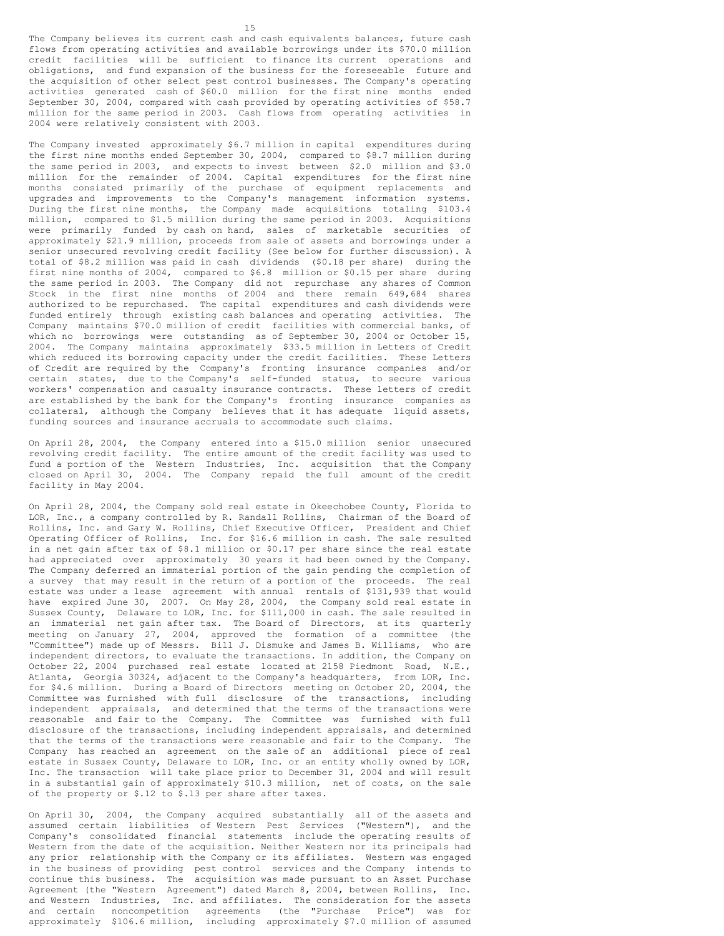The Company believes its current cash and cash equivalents balances, future cash flows from operating activities and available borrowings under its \$70.0 million credit facilities will be sufficient to finance its current operations and obligations, and fund expansion of the business for the foreseeable future and the acquisition of other select pest control businesses. The Company's operating activities generated cash of \$60.0 million for the first nine months ended September 30, 2004, compared with cash provided by operating activities of \$58.7 million for the same period in 2003. Cash flows from operating activities in 2004 were relatively consistent with 2003.

The Company invested approximately \$6.7 million in capital expenditures during the first nine months ended September 30, 2004, compared to \$8.7 million during the same period in 2003, and expects to invest between \$2.0 million and \$3.0 million for the remainder of 2004. Capital expenditures for the first nine months consisted primarily of the purchase of equipment replacements and upgrades and improvements to the Company's management information systems. During the first nine months, the Company made acquisitions totaling \$103.4 million, compared to \$1.5 million during the same period in 2003. Acquisitions were primarily funded by cash on hand, sales of marketable securities of approximately \$21.9 million, proceeds from sale of assets and borrowings under a senior unsecured revolving credit facility (See below for further discussion). A total of \$8.2 million was paid in cash dividends (\$0.18 per share) during the first nine months of 2004, compared to \$6.8 million or \$0.15 per share during the same period in 2003. The Company did not repurchase any shares of Common Stock in the first nine months of 2004 and there remain 649,684 shares authorized to be repurchased. The capital expenditures and cash dividends were funded entirely through existing cash balances and operating activities. The Company maintains \$70.0 million of credit facilities with commercial banks, of which no borrowings were outstanding as of September 30, 2004 or October 15, 2004. The Company maintains approximately \$33.5 million in Letters of Credit which reduced its borrowing capacity under the credit facilities. These Letters of Credit are required by the Company's fronting insurance companies and/or certain states, due to the Company's self-funded status, to secure various workers' compensation and casualty insurance contracts. These letters of credit are established by the bank for the Company's fronting insurance companies as collateral, although the Company believes that it has adequate liquid assets, funding sources and insurance accruals to accommodate such claims.

On April 28, 2004, the Company entered into a \$15.0 million senior unsecured revolving credit facility. The entire amount of the credit facility was used to fund a portion of the Western Industries, Inc. acquisition that the Company closed on April 30, 2004. The Company repaid the full amount of the credit facility in May 2004.

On April 28, 2004, the Company sold real estate in Okeechobee County, Florida to LOR, Inc., a company controlled by R. Randall Rollins, Chairman of the Board of Rollins, Inc. and Gary W. Rollins, Chief Executive Officer, President and Chief Operating Officer of Rollins, Inc. for \$16.6 million in cash. The sale resulted in a net gain after tax of \$8.1 million or \$0.17 per share since the real estate had appreciated over approximately 30 years it had been owned by the Company. The Company deferred an immaterial portion of the gain pending the completion of a survey that may result in the return of a portion of the proceeds. The real estate was under a lease agreement with annual rentals of \$131,939 that would have expired June 30, 2007. On May 28, 2004, the Company sold real estate in Sussex County, Delaware to LOR, Inc. for \$111,000 in cash. The sale resulted in an immaterial net gain after tax. The Board of Directors, at its quarterly meeting on January 27, 2004, approved the formation of a committee (the "Committee") made up of Messrs. Bill J. Dismuke and James B. Williams, who are independent directors, to evaluate the transactions. In addition, the Company on October 22, 2004 purchased real estate located at 2158 Piedmont Road, N.E., Atlanta, Georgia 30324, adjacent to the Company's headquarters, from LOR, Inc. for \$4.6 million. During a Board of Directors meeting on October 20, 2004, the Committee was furnished with full disclosure of the transactions, including independent appraisals, and determined that the terms of the transactions were reasonable and fair to the Company. The Committee was furnished with full disclosure of the transactions, including independent appraisals, and determined that the terms of the transactions were reasonable and fair to the Company. The Company has reached an agreement on the sale of an additional piece of real estate in Sussex County, Delaware to LOR, Inc. or an entity wholly owned by LOR, Inc. The transaction will take place prior to December 31, 2004 and will result in a substantial gain of approximately \$10.3 million, net of costs, on the sale of the property or \$.12 to \$.13 per share after taxes.

On April 30, 2004, the Company acquired substantially all of the assets and assumed certain liabilities of Western Pest Services ("Western"), and the Company's consolidated financial statements include the operating results of Western from the date of the acquisition. Neither Western nor its principals had any prior relationship with the Company or its affiliates. Western was engaged in the business of providing pest control services and the Company intends to continue this business. The acquisition was made pursuant to an Asset Purchase Agreement (the "Western Agreement") dated March 8, 2004, between Rollins, Inc. and Western Industries, Inc. and affiliates. The consideration for the assets and certain noncompetition agreements (the "Purchase Price") was for approximately \$106.6 million, including approximately \$7.0 million of assumed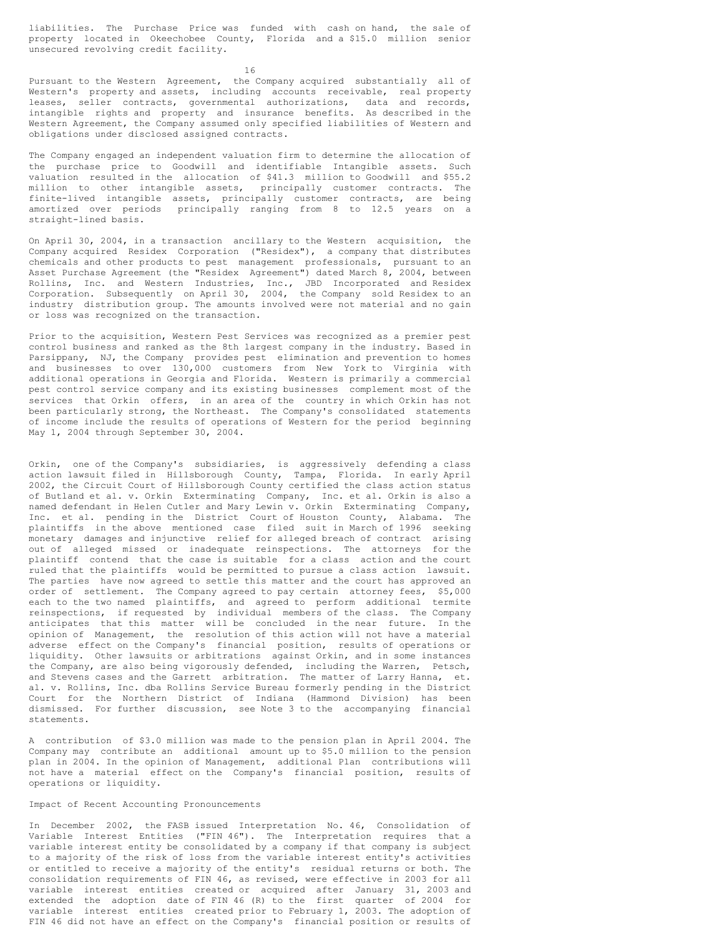liabilities. The Purchase Price was funded with cash on hand, the sale of property located in Okeechobee County, Florida and a \$15.0 million senior unsecured revolving credit facility.

16

Pursuant to the Western Agreement, the Company acquired substantially all of Western's property and assets, including accounts receivable, real property leases, seller contracts, governmental authorizations, data and records, intangible rights and property and insurance benefits. As described in the Western Agreement, the Company assumed only specified liabilities of Western and obligations under disclosed assigned contracts.

The Company engaged an independent valuation firm to determine the allocation of the purchase price to Goodwill and identifiable Intangible assets. Such valuation resulted in the allocation of \$41.3 million to Goodwill and \$55.2 million to other intangible assets, principally customer contracts. The finite-lived intangible assets, principally customer contracts, are being amortized over periods principally ranging from 8 to 12.5 years on a straight-lined basis.

On April 30, 2004, in a transaction ancillary to the Western acquisition, the Company acquired Residex Corporation ("Residex"), a company that distributes chemicals and other products to pest management professionals, pursuant to an Asset Purchase Agreement (the "Residex Agreement") dated March 8, 2004, between Rollins, Inc. and Western Industries, Inc., JBD Incorporated and Residex Corporation. Subsequently on April 30, 2004, the Company sold Residex to an industry distribution group. The amounts involved were not material and no gain or loss was recognized on the transaction.

Prior to the acquisition, Western Pest Services was recognized as a premier pest control business and ranked as the 8th largest company in the industry. Based in Parsippany, NJ, the Company provides pest elimination and prevention to homes and businesses to over 130,000 customers from New York to Virginia with additional operations in Georgia and Florida. Western is primarily a commercial pest control service company and its existing businesses complement most of the services that Orkin offers, in an area of the country in which Orkin has not been particularly strong, the Northeast. The Company's consolidated statements of income include the results of operations of Western for the period beginning May 1, 2004 through September 30, 2004.

Orkin, one of the Company's subsidiaries, is aggressively defending a class action lawsuit filed in Hillsborough County, Tampa, Florida. In early April 2002, the Circuit Court of Hillsborough County certified the class action status of Butland et al. v. Orkin Exterminating Company, Inc. et al. Orkin is also a named defendant in Helen Cutler and Mary Lewin v. Orkin Exterminating Company, Inc. et al. pending in the District Court of Houston County, Alabama. The plaintiffs in the above mentioned case filed suit in March of 1996 seeking monetary damages and injunctive relief for alleged breach of contract arising out of alleged missed or inadequate reinspections. The attorneys for the plaintiff contend that the case is suitable for a class action and the court ruled that the plaintiffs would be permitted to pursue a class action lawsuit. The parties have now agreed to settle this matter and the court has approved an order of settlement. The Company agreed to pay certain attorney fees, \$5,000 each to the two named plaintiffs, and agreed to perform additional termite reinspections, if requested by individual members of the class. The Company anticipates that this matter will be concluded in the near future. In the opinion of Management, the resolution of this action will not have a material adverse effect on the Company's financial position, results of operations or liquidity. Other lawsuits or arbitrations against Orkin, and in some instances the Company, are also being vigorously defended, including the Warren, Petsch, and Stevens cases and the Garrett arbitration. The matter of Larry Hanna, et. al. v. Rollins, Inc. dba Rollins Service Bureau formerly pending in the District Court for the Northern District of Indiana (Hammond Division) has been dismissed. For further discussion, see Note 3 to the accompanying financial statements.

A contribution of \$3.0 million was made to the pension plan in April 2004. The Company may contribute an additional amount up to \$5.0 million to the pension plan in 2004. In the opinion of Management, additional Plan contributions will not have a material effect on the Company's financial position, results of operations or liquidity.

# Impact of Recent Accounting Pronouncements

In December 2002, the FASB issued Interpretation No. 46, Consolidation of Variable Interest Entities ("FIN 46"). The Interpretation requires that a variable interest entity be consolidated by a company if that company is subject to a majority of the risk of loss from the variable interest entity's activities or entitled to receive a majority of the entity's residual returns or both. The consolidation requirements of FIN 46, as revised, were effective in 2003 for all variable interest entities created or acquired after January 31, 2003 and extended the adoption date of FIN 46 (R) to the first quarter of 2004 for variable interest entities created prior to February 1, 2003. The adoption of FIN 46 did not have an effect on the Company's financial position or results of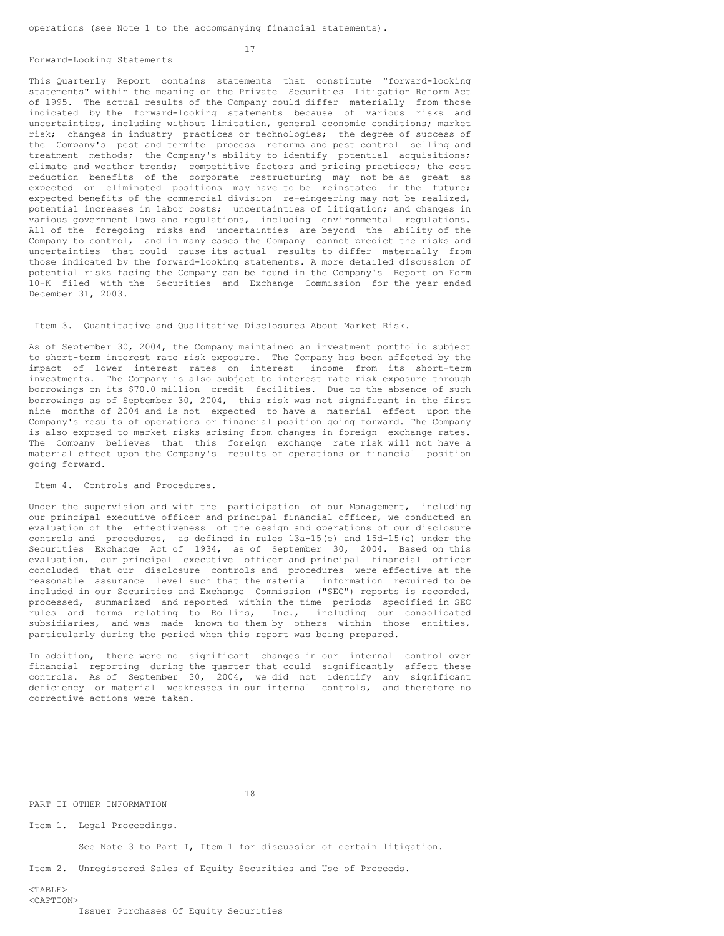operations (see Note 1 to the accompanying financial statements).

#### Forward-Looking Statements

17

This Quarterly Report contains statements that constitute "forward-looking statements" within the meaning of the Private Securities Litigation Reform Act of 1995. The actual results of the Company could differ materially from those indicated by the forward-looking statements because of various risks and uncertainties, including without limitation, general economic conditions; market risk; changes in industry practices or technologies; the degree of success of the Company's pest and termite process reforms and pest control selling and treatment methods; the Company's ability to identify potential acquisitions; climate and weather trends; competitive factors and pricing practices; the cost reduction benefits of the corporate restructuring may not be as great as expected or eliminated positions may have to be reinstated in the future; expected benefits of the commercial division re-eingeering may not be realized, potential increases in labor costs; uncertainties of litigation; and changes in various government laws and regulations, including environmental regulations. All of the foregoing risks and uncertainties are beyond the ability of the Company to control, and in many cases the Company cannot predict the risks and uncertainties that could cause its actual results to differ materially from those indicated by the forward-looking statements. A more detailed discussion of potential risks facing the Company can be found in the Company's Report on Form 10-K filed with the Securities and Exchange Commission for the year ended December 31, 2003.

# Item 3. Quantitative and Qualitative Disclosures About Market Risk.

As of September 30, 2004, the Company maintained an investment portfolio subject to short-term interest rate risk exposure. The Company has been affected by the impact of lower interest rates on interest income from its short-term investments. The Company is also subject to interest rate risk exposure through borrowings on its \$70.0 million credit facilities. Due to the absence of such borrowings as of September 30, 2004, this risk was not significant in the first nine months of 2004 and is not expected to have a material effect upon the Company's results of operations or financial position going forward. The Company is also exposed to market risks arising from changes in foreign exchange rates. The Company believes that this foreign exchange rate risk will not have a material effect upon the Company's results of operations or financial position going forward.

# Item 4. Controls and Procedures.

Under the supervision and with the participation of our Management, including our principal executive officer and principal financial officer, we conducted an evaluation of the effectiveness of the design and operations of our disclosure controls and procedures, as defined in rules 13a-15(e) and 15d-15(e) under the Securities Exchange Act of 1934, as of September 30, 2004. Based on this evaluation, our principal executive officer and principal financial officer concluded that our disclosure controls and procedures were effective at the reasonable assurance level such that the material information required to be included in our Securities and Exchange Commission ("SEC") reports is recorded, processed, summarized and reported within the time periods specified in SEC rules and forms relating to Rollins, Inc., including our consolidated subsidiaries, and was made known to them by others within those entities, particularly during the period when this report was being prepared.

In addition, there were no significant changes in our internal control over financial reporting during the quarter that could significantly affect these controls. As of September 30, 2004, we did not identify any significant deficiency or material weaknesses in our internal controls, and therefore no corrective actions were taken.

PART II OTHER INFORMATION

Item 1. Legal Proceedings.

See Note 3 to Part I, Item 1 for discussion of certain litigation.

Item 2. Unregistered Sales of Equity Securities and Use of Proceeds.

Issuer Purchases Of Equity Securities

18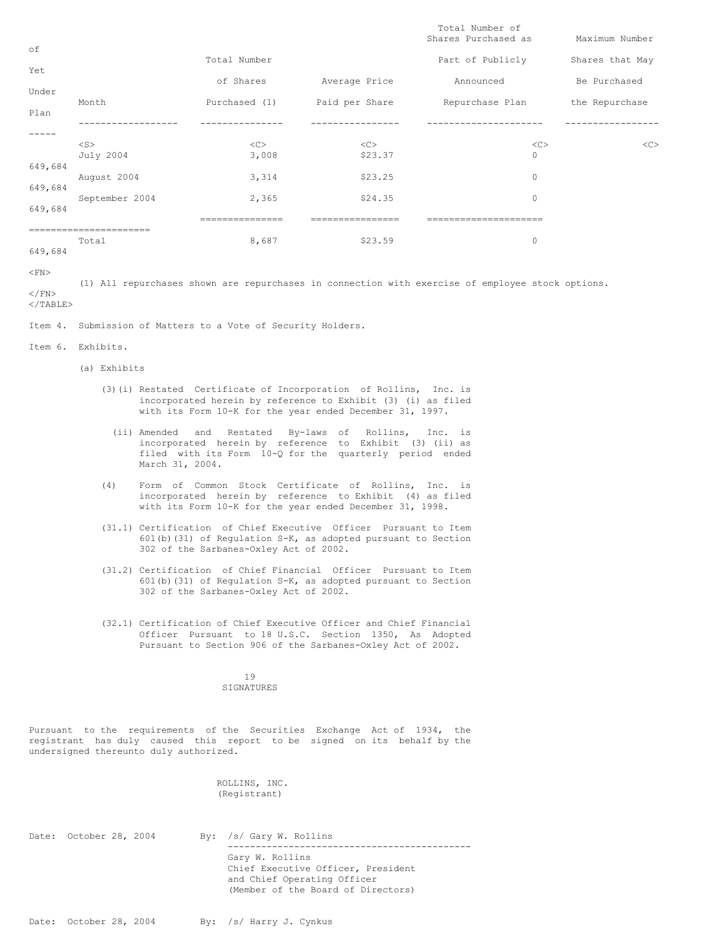|         |                |               |                | Total Number of<br>Shares Purchased as | Maximum Number  |
|---------|----------------|---------------|----------------|----------------------------------------|-----------------|
| of      |                | Total Number  |                | Part of Publicly                       | Shares that May |
| Yet     |                | of Shares     | Average Price  | Announced                              | Be Purchased    |
| Under   | Month          | Purchased (1) | Paid per Share | Repurchase Plan                        | the Repurchase  |
| Plan    |                |               |                |                                        |                 |
|         | $<$ S $>$      | <<            | <<             | <<                                     | <<              |
|         | July 2004      | 3,008         | \$23.37        | $\mathbf{0}$                           |                 |
| 649,684 | August 2004    | 3,314         | \$23.25        | $\mathbf{0}$                           |                 |
| 649,684 | September 2004 | 2,365         | \$24.35        | $\mathbf{0}$                           |                 |
| 649,684 |                |               |                |                                        |                 |
| 649,684 | Total          | 8,687         | \$23.59        | 0                                      |                 |

 $<$ FN $>$ 

(1) All repurchases shown are repurchases in connection with exercise of employee stock options.  $<$ / $FN$ >

 $<$ /TABLE>

Item 4. Submission of Matters to a Vote of Security Holders.

Item 6. Exhibits.

(a) Exhibits

- (3)(i) Restated Certificate of Incorporation of Rollins, Inc. is incorporated herein by reference to Exhibit (3) (i) as filed with its Form 10-K for the year ended December 31, 1997.
	- (ii) Amended and Restated By-laws of Rollins, Inc. is incorporated herein by reference to Exhibit (3) (ii) as filed with its Form 10-Q for the quarterly period ended March 31, 2004.
- (4) Form of Common Stock Certificate of Rollins, Inc. is incorporated herein by reference to Exhibit (4) as filed with its Form 10-K for the year ended December 31, 1998.
- (31.1) Certification of Chief Executive Officer Pursuant to Item 601(b)(31) of Regulation S-K, as adopted pursuant to Section 302 of the Sarbanes-Oxley Act of 2002.
- (31.2) Certification of Chief Financial Officer Pursuant to Item 601(b)(31) of Regulation S-K, as adopted pursuant to Section 302 of the Sarbanes-Oxley Act of 2002.
- (32.1) Certification of Chief Executive Officer and Chief Financial Officer Pursuant to 18 U.S.C. Section 1350, As Adopted Pursuant to Section 906 of the Sarbanes-Oxley Act of 2002.

19 SIGNATURES

Pursuant to the requirements of the Securities Exchange Act of 1934, the registrant has duly caused this report to be signed on its behalf by the undersigned thereunto duly authorized.

> ROLLINS, INC. (Registrant)

Date: October 28, 2004 By: /s/ Gary W. Rollins -------------------------------------------- Gary W. Rollins Chief Executive Officer, President and Chief Operating Officer (Member of the Board of Directors)

Date: October 28, 2004 By: /s/ Harry J. Cynkus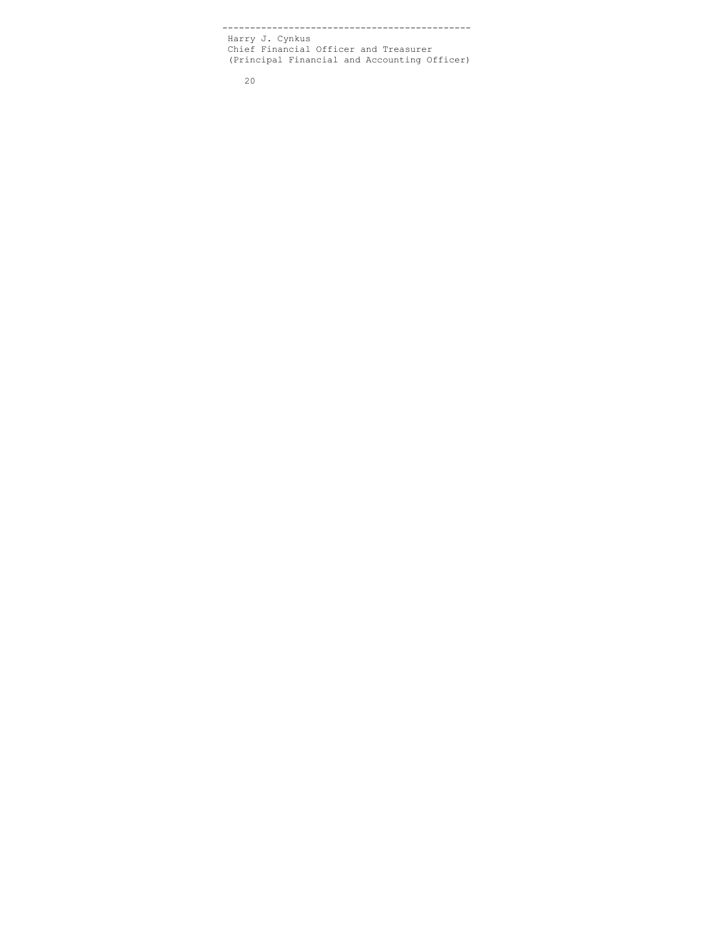--------------------------------------------- Harry J. Cynkus Chief Financial Officer and Treasurer (Principal Financial and Accounting Officer)

20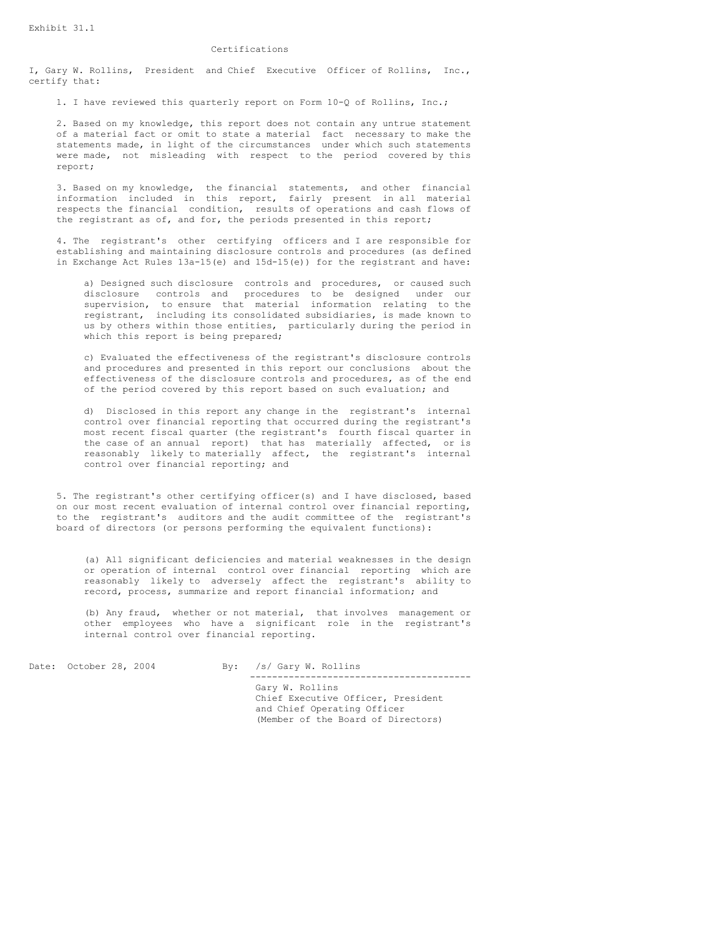## Certifications

I, Gary W. Rollins, President and Chief Executive Officer of Rollins, Inc., certify that:

1. I have reviewed this quarterly report on Form 10-Q of Rollins, Inc.;

2. Based on my knowledge, this report does not contain any untrue statement of a material fact or omit to state a material fact necessary to make the statements made, in light of the circumstances under which such statements were made, not misleading with respect to the period covered by this report;

3. Based on my knowledge, the financial statements, and other financial information included in this report, fairly present in all material respects the financial condition, results of operations and cash flows of the registrant as of, and for, the periods presented in this report;

4. The registrant's other certifying officers and I are responsible for establishing and maintaining disclosure controls and procedures (as defined in Exchange Act Rules 13a-15(e) and 15d-15(e)) for the registrant and have:

a) Designed such disclosure controls and procedures, or caused such disclosure controls and procedures to be designed under our supervision, to ensure that material information relating to the registrant, including its consolidated subsidiaries, is made known to us by others within those entities, particularly during the period in which this report is being prepared;

c) Evaluated the effectiveness of the registrant's disclosure controls and procedures and presented in this report our conclusions about the effectiveness of the disclosure controls and procedures, as of the end of the period covered by this report based on such evaluation; and

d) Disclosed in this report any change in the registrant's internal control over financial reporting that occurred during the registrant's most recent fiscal quarter (the registrant's fourth fiscal quarter in the case of an annual report) that has materially affected, or is reasonably likely to materially affect, the registrant's internal control over financial reporting; and

5. The registrant's other certifying officer(s) and I have disclosed, based on our most recent evaluation of internal control over financial reporting, to the registrant's auditors and the audit committee of the registrant's board of directors (or persons performing the equivalent functions):

(a) All significant deficiencies and material weaknesses in the design or operation of internal control over financial reporting which are reasonably likely to adversely affect the registrant's ability to record, process, summarize and report financial information; and

(b) Any fraud, whether or not material, that involves management or other employees who have a significant role in the registrant's internal control over financial reporting.

Date: October 28, 2004 By: /s/ Gary W. Rollins

---------------------------------------- Gary W. Rollins Chief Executive Officer, President and Chief Operating Officer (Member of the Board of Directors)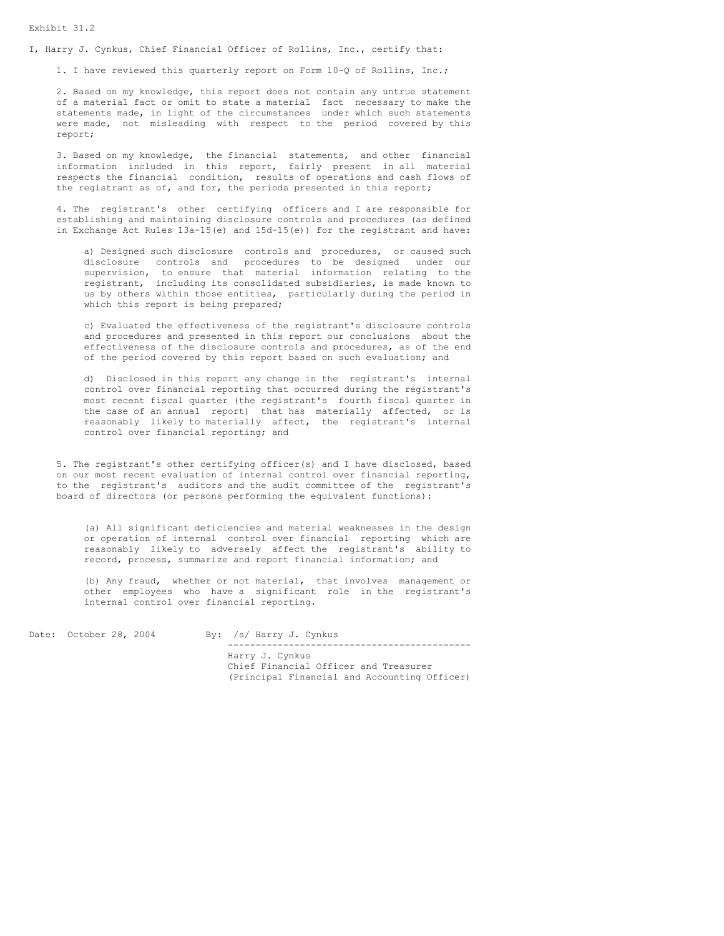Exhibit 31.2

I, Harry J. Cynkus, Chief Financial Officer of Rollins, Inc., certify that:

1. I have reviewed this quarterly report on Form 10-Q of Rollins, Inc.;

2. Based on my knowledge, this report does not contain any untrue statement of a material fact or omit to state a material fact necessary to make the statements made, in light of the circumstances under which such statements were made, not misleading with respect to the period covered by this report;

3. Based on my knowledge, the financial statements, and other financial information included in this report, fairly present in all material respects the financial condition, results of operations and cash flows of the registrant as of, and for, the periods presented in this report;

4. The registrant's other certifying officers and I are responsible for establishing and maintaining disclosure controls and procedures (as defined in Exchange Act Rules 13a-15(e) and 15d-15(e)) for the registrant and have:

a) Designed such disclosure controls and procedures, or caused such disclosure controls and procedures to be designed under our supervision, to ensure that material information relating to the registrant, including its consolidated subsidiaries, is made known to us by others within those entities, particularly during the period in which this report is being prepared;

c) Evaluated the effectiveness of the registrant's disclosure controls and procedures and presented in this report our conclusions about the effectiveness of the disclosure controls and procedures, as of the end of the period covered by this report based on such evaluation; and

d) Disclosed in this report any change in the registrant's internal control over financial reporting that occurred during the registrant's most recent fiscal quarter (the registrant's fourth fiscal quarter in the case of an annual report) that has materially affected, or is reasonably likely to materially affect, the registrant's internal control over financial reporting; and

5. The registrant's other certifying officer(s) and I have disclosed, based on our most recent evaluation of internal control over financial reporting, to the registrant's auditors and the audit committee of the registrant's board of directors (or persons performing the equivalent functions):

(a) All significant deficiencies and material weaknesses in the design or operation of internal control over financial reporting which are reasonably likely to adversely affect the registrant's ability to record, process, summarize and report financial information; and

(b) Any fraud, whether or not material, that involves management or other employees who have a significant role in the registrant's internal control over financial reporting.

Date: October 28, 2004 By: /s/ Harry J. Cynkus -------------------------------------------- Harry J. Cynkus Chief Financial Officer and Treasurer (Principal Financial and Accounting Officer)